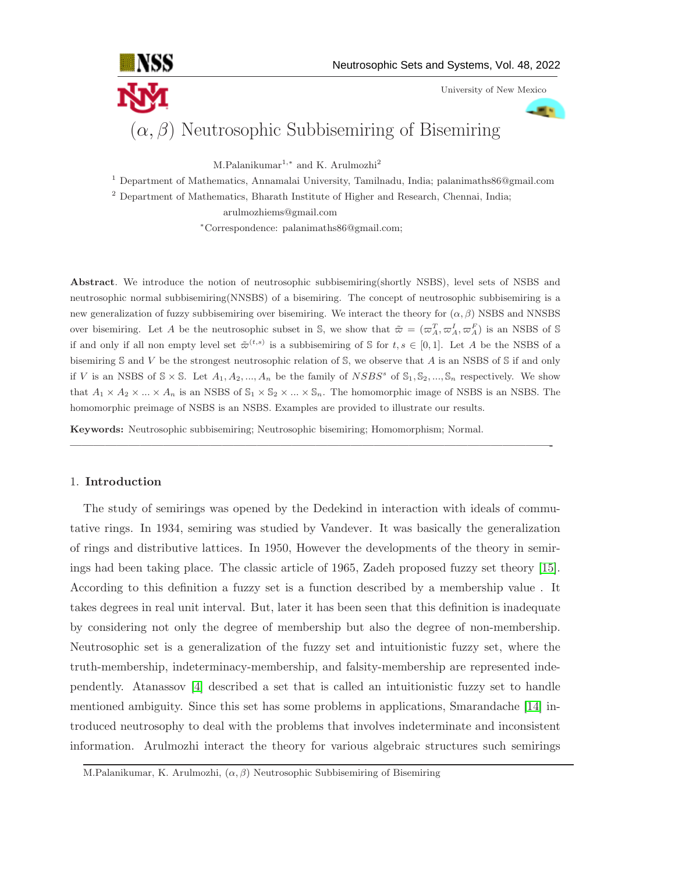

University of New Mexico

**STA** 

# $(\alpha, \beta)$  Neutrosophic Subbisemiring of Bisemiring

M.Palanikumar<sup>1,\*</sup> and K. Arulmozhi<sup>2</sup>

<sup>1</sup> Department of Mathematics, Annamalai University, Tamilnadu, India; palanimaths86@gmail.com

<sup>2</sup> Department of Mathematics, Bharath Institute of Higher and Research, Chennai, India;

arulmozhiems@gmail.com

<sup>∗</sup>Correspondence: palanimaths86@gmail.com;

Abstract. We introduce the notion of neutrosophic subbisemiring(shortly NSBS), level sets of NSBS and neutrosophic normal subbisemiring(NNSBS) of a bisemiring. The concept of neutrosophic subbisemiring is a new generalization of fuzzy subbisemiring over bisemiring. We interact the theory for  $(\alpha, \beta)$  NSBS and NNSBS over bisemiring. Let A be the neutrosophic subset in S, we show that  $\tilde{\varpi} = (\varpi_A^T, \varpi_A^I, \varpi_A^F)$  is an NSBS of S if and only if all non empty level set  $\tilde{\varpi}^{(t,s)}$  is a subbisemiring of S for  $t, s \in [0,1]$ . Let A be the NSBS of a bisemiring  $S$  and  $V$  be the strongest neutrosophic relation of  $S$ , we observe that  $A$  is an NSBS of  $S$  if and only if V is an NSBS of  $\mathcal{S} \times \mathcal{S}$ . Let  $A_1, A_2, ..., A_n$  be the family of  $NSBS^s$  of  $\mathcal{S}_1, \mathcal{S}_2, ..., \mathcal{S}_n$  respectively. We show that  $A_1 \times A_2 \times ... \times A_n$  is an NSBS of  $\mathbb{S}_1 \times \mathbb{S}_2 \times ... \times \mathbb{S}_n$ . The homomorphic image of NSBS is an NSBS. The homomorphic preimage of NSBS is an NSBS. Examples are provided to illustrate our results.

—————————————————————————————————————————-

Keywords: Neutrosophic subbisemiring; Neutrosophic bisemiring; Homomorphism; Normal.

## 1. Introduction

The study of semirings was opened by the Dedekind in interaction with ideals of commutative rings. In 1934, semiring was studied by Vandever. It was basically the generalization of rings and distributive lattices. In 1950, However the developments of the theory in semirings had been taking place. The classic article of 1965, Zadeh proposed fuzzy set theory [\[15\]](#page-17-0). According to this definition a fuzzy set is a function described by a membership value . It takes degrees in real unit interval. But, later it has been seen that this definition is inadequate by considering not only the degree of membership but also the degree of non-membership. Neutrosophic set is a generalization of the fuzzy set and intuitionistic fuzzy set, where the truth-membership, indeterminacy-membership, and falsity-membership are represented independently. Atanassov [\[4\]](#page-16-0) described a set that is called an intuitionistic fuzzy set to handle mentioned ambiguity. Since this set has some problems in applications, Smarandache [\[14\]](#page-17-1) introduced neutrosophy to deal with the problems that involves indeterminate and inconsistent information. Arulmozhi interact the theory for various algebraic structures such semirings

M.Palanikumar, K. Arulmozhi,  $(\alpha, \beta)$  Neutrosophic Subbisemiring of Bisemiring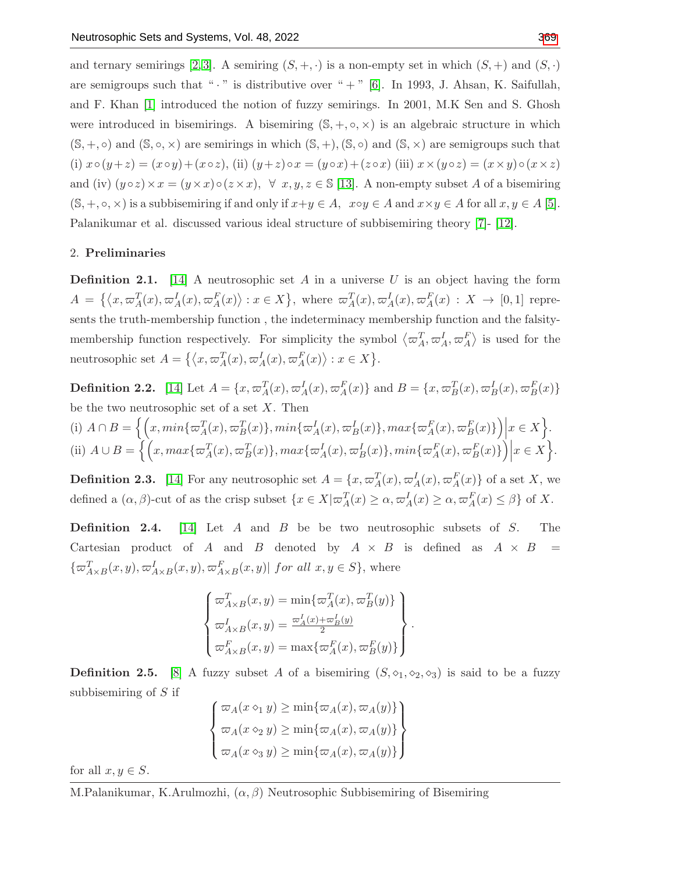and ternary semirings [\[2,](#page-16-1) [3\]](#page-16-2). A semiring  $(S, +, \cdot)$  is a non-empty set in which  $(S, +)$  and  $(S, \cdot)$ are semigroups such that " $\cdot$ " is distributive over " $+$ " [\[6\]](#page-16-3). In 1993, J. Ahsan, K. Saifullah, and F. Khan [\[1\]](#page-16-4) introduced the notion of fuzzy semirings. In 2001, M.K Sen and S. Ghosh were introduced in bisemirings. A bisemiring  $(S, +, \circ, \times)$  is an algebraic structure in which  $(S, +, \circ)$  and  $(S, \circ, \times)$  are semirings in which  $(S, +), (S, \circ)$  and  $(S, \times)$  are semigroups such that (i)  $x \circ (y+z) = (x \circ y) + (x \circ z)$ , (ii)  $(y+z) \circ x = (y \circ x) + (z \circ x)$  (iii)  $x \times (y \circ z) = (x \times y) \circ (x \times z)$ and (iv)  $(y \circ z) \times x = (y \times x) \circ (z \times x), \forall x, y, z \in \mathbb{S}$  [\[13\]](#page-17-3). A non-empty subset A of a bisemiring  $(S, +, \circ, \times)$  is a subbisemiring if and only if  $x+y \in A$ ,  $x \circ y \in A$  and  $x \times y \in A$  for all  $x, y \in A$  [\[5\]](#page-16-5). Palanikumar et al. discussed various ideal structure of subbisemiring theory [\[7\]](#page-16-6)- [\[12\]](#page-17-4).

#### 2. Preliminaries

**Definition 2.1.** [\[14\]](#page-17-1) A neutrosophic set A in a universe U is an object having the form  $A = \{\langle x, \varpi_A^T(x), \varpi_A^I(x), \varpi_A^F(x)\rangle : x \in X\},\$  where  $\varpi_A^T(x), \varpi_A^I(x), \varpi_A^F(x) : X \to [0,1]$  represents the truth-membership function , the indeterminacy membership function and the falsitymembership function respectively. For simplicity the symbol  $\langle \varpi_A^T, \varpi_A^I, \varpi_A^F \rangle$  is used for the neutrosophic set  $A = \{ \langle x, \varpi_A^T(x), \varpi_A^I(x), \varpi_A^F(x) \rangle : x \in X \}.$ 

**Definition 2.2.** [\[14\]](#page-17-1) Let  $A = \{x, \varpi_A^T(x), \varpi_A^I(x), \varpi_A^F(x)\}$  and  $B = \{x, \varpi_B^T(x), \varpi_B^I(x), \varpi_B^F(x)\}$ be the two neutrosophic set of a set  $X$ . Then (i)  $A \cap B = \left\{ \left( x, min\{\varpi_A^T(x), \varpi_B^T(x)\}, min\{\varpi_A^I(x), \varpi_B^I(x)\}, max\{\varpi_A^F(x), \varpi_B^F(x)\}\right) \right\}$  $x \in X$ . (ii)  $A \cup B = \left\{ \left( x, \max\{\varpi_A^T(x), \varpi_B^T(x)\}, \max\{\varpi_A^I(x), \varpi_B^I(x)\}, \min\{\varpi_A^F(x), \varpi_B^F(x)\}\right) \right\}$  $x \in X$ .

**Definition 2.3.** [\[14\]](#page-17-1) For any neutrosophic set  $A = \{x, \varpi_A^T(x), \varpi_A^I(x), \varpi_A^F(x)\}$  of a set X, we defined a  $(\alpha, \beta)$ -cut of as the crisp subset  $\{x \in X | \varpi_A^T(x) \ge \alpha, \varpi_A^I(x) \ge \alpha, \varpi_A^F(x) \le \beta\}$  of X.

**Definition 2.4.** [\[14\]](#page-17-1) Let A and B be two neutrosophic subsets of S. The Cartesian product of A and B denoted by  $A \times B$  is defined as  $A \times B$  =  $\{\varpi_{A\times B}^T(x,y),\varpi_{A\times B}^I(x,y),\varpi_{A\times B}^F(x,y)|\ \text{for all}\ x,y\in S\}$ , where

$$
\begin{cases}\n\varpi_{A\times B}^T(x,y) = \min\{\varpi_A^T(x),\varpi_B^T(y)\} \\
\varpi_{A\times B}^I(x,y) = \frac{\varpi_A^I(x) + \varpi_B^I(y)}{2} \\
\varpi_{A\times B}^F(x,y) = \max\{\varpi_A^F(x),\varpi_B^F(y)\}\n\end{cases}
$$

.

**Definition 2.5.** [\[8\]](#page-17-5) A fuzzy subset A of a bisemiring  $(S, \diamond_1, \diamond_2, \diamond_3)$  is said to be a fuzzy subbisemiring of S if

$$
\begin{cases} \n\varpi_A(x \diamond_1 y) \ge \min\{\varpi_A(x), \varpi_A(y)\} \\ \n\varpi_A(x \diamond_2 y) \ge \min\{\varpi_A(x), \varpi_A(y)\} \\ \n\varpi_A(x \diamond_3 y) \ge \min\{\varpi_A(x), \varpi_A(y)\} \n\end{cases}
$$

for all  $x, y \in S$ .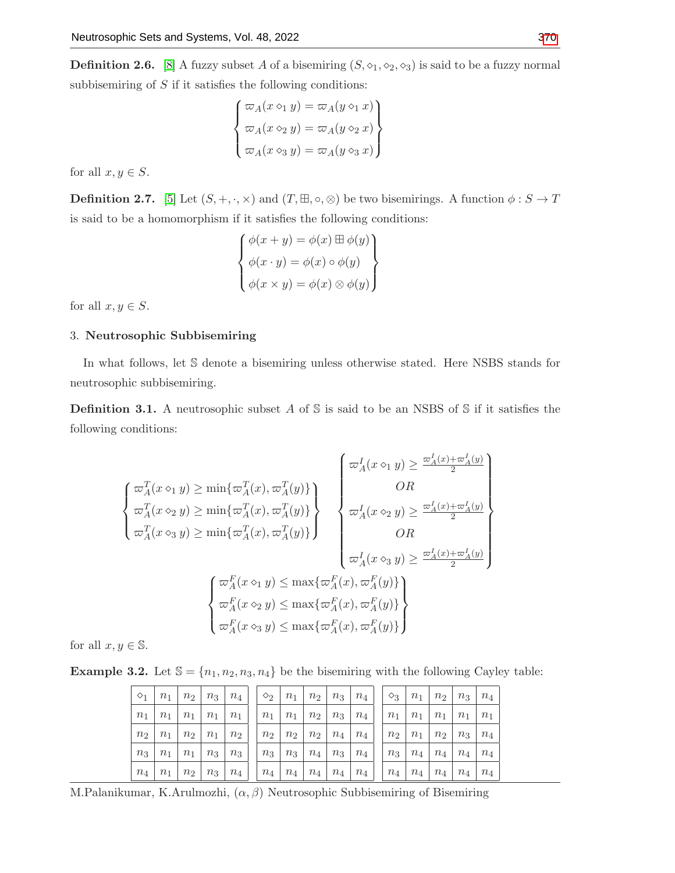**Definition 2.6.** [\[8\]](#page-17-5) A fuzzy subset A of a bisemiring  $(S, \diamond_1, \diamond_2, \diamond_3)$  is said to be a fuzzy normal subbisemiring of  $S$  if it satisfies the following conditions:

$$
\begin{cases}\n\varpi_A(x \diamond_1 y) = \varpi_A(y \diamond_1 x) \\
\varpi_A(x \diamond_2 y) = \varpi_A(y \diamond_2 x) \\
\varpi_A(x \diamond_3 y) = \varpi_A(y \diamond_3 x)\n\end{cases}
$$

for all  $x, y \in S$ .

**Definition 2.7.** [\[5\]](#page-16-5) Let  $(S, +, \cdot, \times)$  and  $(T, \mathbb{H}, \circ, \otimes)$  be two bisemirings. A function  $\phi : S \to T$ is said to be a homomorphism if it satisfies the following conditions:

$$
\begin{cases}\n\phi(x+y) = \phi(x) \boxplus \phi(y) \\
\phi(x \cdot y) = \phi(x) \circ \phi(y) \\
\phi(x \times y) = \phi(x) \otimes \phi(y)\n\end{cases}
$$

for all  $x, y \in S$ .

## 3. Neutrosophic Subbisemiring

In what follows, let S denote a bisemiring unless otherwise stated. Here NSBS stands for neutrosophic subbisemiring.

**Definition 3.1.** A neutrosophic subset A of S is said to be an NSBS of S if it satisfies the following conditions:

$$
\begin{cases}\n\varpi_A^T(x \diamond_1 y) \ge \min\{\varpi_A^T(x), \varpi_A^T(y)\} \\
\varpi_A^T(x \diamond_2 y) \ge \min\{\varpi_A^T(x), \varpi_A^T(y)\} \\
\varpi_A^T(x \diamond_3 y) \ge \min\{\varpi_A^T(x), \varpi_A^T(y)\}\n\end{cases}\n\begin{cases}\n\varpi_A^I(x \diamond_1 y) \ge \frac{\varpi_A^I(x) + \varpi_A^I(y)}{2} \\
OR \\
\varpi_A^I(x \diamond_2 y) \ge \frac{\varpi_A^I(x) + \varpi_A^I(y)}{2} \\
OR \\
\varpi_A^I(x \diamond_3 y) \ge \frac{\varpi_A^I(x) + \varpi_A^I(y)}{2}\n\end{cases}\n\begin{cases}\n\varpi_A^F(x \diamond_1 y) \le \max\{\varpi_A^F(x), \varpi_A^F(y)\} \\
\varpi_A^F(x \diamond_2 y) \le \max\{\varpi_A^F(x), \varpi_A^F(y)\} \\
\varpi_A^F(x \diamond_3 y) \le \max\{\varpi_A^F(x), \varpi_A^F(y)\}\n\end{cases}
$$

for all  $x, y \in \mathbb{S}$ .

<span id="page-2-0"></span>**Example 3.2.** Let  $\mathbb{S} = \{n_1, n_2, n_3, n_4\}$  be the bisemiring with the following Cayley table:

| $\diamond$ 1   | $n_1$ | $n_2$          | $n_3$ | $n_4$ | $\rightarrow$ $\Diamond$ <sub>2</sub> + | $n_1$   | $n_2$ | $n_3$ | $n_4$ | $\diamond$ 3   | $n_1$ | n <sub>2</sub> | $n_3$ | $n_4$ |
|----------------|-------|----------------|-------|-------|-----------------------------------------|---------|-------|-------|-------|----------------|-------|----------------|-------|-------|
| n <sub>1</sub> | $n_1$ | $n_1$          | $n_1$ | $n_1$ | $n_1$                                   | $n_1$   | $n_2$ | $n_3$ | $n_4$ | $n_1$          | $n_1$ | $n_1$          | $n_1$ | $n_1$ |
| n <sub>2</sub> | $n_1$ | n <sub>2</sub> | $n_1$ | $n_2$ | $n_2$                                   | $n_2$   | $n_2$ | $n_4$ | $n_4$ | n <sub>2</sub> | $n_1$ | $n_2$          | $n_3$ | $n_4$ |
| $n_3$          | $n_1$ | $n_1$          | $n_3$ | $n_3$ | $n_3$                                   | $n_3$   | $n_4$ | $n_3$ | $n_4$ | $n_3$          | $n_4$ | $n_4$          | $n_4$ | $n_4$ |
| $n_4$          | $n_1$ | $n_2$          | $n_3$ | $n_4$ | $n_4$                                   | $n_{4}$ | $n_4$ | $n_4$ | $n_4$ | $n_4$          | $n_4$ | $n_4$          | $n_4$ | $n_4$ |

M.Palanikumar, K.Arulmozhi,  $(\alpha, \beta)$  Neutrosophic Subbisemiring of Bisemiring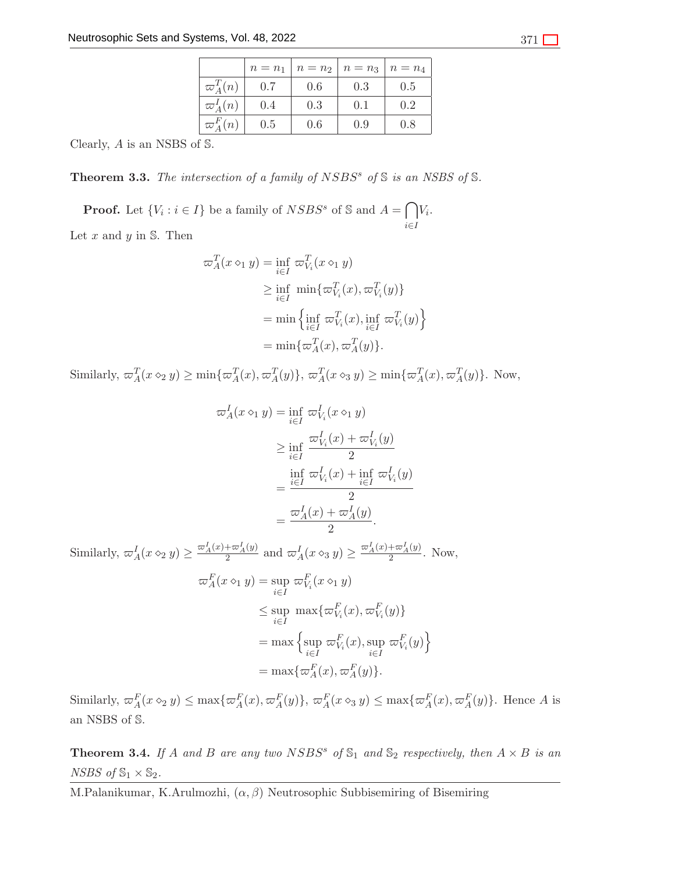|                 | $n = n_1$ | $n = n2$ | $n = n_3$ | $n = n_4$ |
|-----------------|-----------|----------|-----------|-----------|
| $\varpi_A^T(n)$ | 0.7       | 0.6      | 0.3       | 0.5       |
| $\varpi_A^I(n)$ | 0.4       | 0.3      | 0.1       | 0.2       |
| $\varpi_A^F(n)$ | 0.5       | 0.6      | 0.9       | 0.8       |

Clearly, A is an NSBS of S.

<span id="page-3-0"></span>**Theorem 3.3.** The intersection of a family of  $NSBS<sup>s</sup>$  of  $\mathbb{S}$  is an NSBS of  $\mathbb{S}$ .

**Proof.** Let  $\{V_i : i \in I\}$  be a family of  $NSBS^s$  of S and  $A = \bigcap$ i∈I  $V_i$ . Let  $x$  and  $y$  in  $\mathbb{S}$ . Then

$$
\begin{aligned} \varpi_A^T(x \diamond_1 y) &= \inf_{i \in I} \varpi_{V_i}^T(x \diamond_1 y) \\ &\ge \inf_{i \in I} \min \{ \varpi_{V_i}^T(x), \varpi_{V_i}^T(y) \} \\ &= \min \left\{ \inf_{i \in I} \varpi_{V_i}^T(x), \inf_{i \in I} \varpi_{V_i}^T(y) \right\} \\ &= \min \{ \varpi_A^T(x), \varpi_A^T(y) \}. \end{aligned}
$$

Similarly,  $\varpi_A^T(x \diamond_2 y) \ge \min\{\varpi_A^T(x), \varpi_A^T(y)\}, \varpi_A^T(x \diamond_3 y) \ge \min\{\varpi_A^T(x), \varpi_A^T(y)\}.$  Now,

$$
\begin{split} \varpi_A^I(x \diamond_1 y) &= \inf_{i \in I} \varpi_{V_i}^I(x \diamond_1 y) \\ &\ge \inf_{i \in I} \frac{\varpi_{V_i}^I(x) + \varpi_{V_i}^I(y)}{2} \\ &= \frac{\inf_{i \in I} \varpi_{V_i}^I(x) + \inf_{i \in I} \varpi_{V_i}^I(y)}{2} \\ &= \frac{\varpi_A^I(x) + \varpi_A^I(y)}{2} .\end{split}
$$

Similarly,  $\omega_A^I(x \diamond_2 y) \ge \frac{\omega_A^I(x) + \omega_A^I(y)}{2}$  and  $\omega_A^I(x \diamond_3 y) \ge \frac{\omega_A^I(x) + \omega_A^I(y)}{2}$ . Now,  $\varpi_A^F(x \diamond_1 y) = \sup_{i \in I}$  $\varpi_{V_i}^F(x \diamond_1 y)$  $\leq$  sup i∈I  $\max\{\varpi_{V_i}^F(x), \varpi_{V_i}^F(y)\}\$  $=$  max  $\{ \text{sup}$ i∈I  $\varpi_{V_i}^F(x)$ , sup i∈I  $\left. \begin{array}{l} E \ \varpi^F_{V_i}(y) \end{array} \right\}$  $=$  max $\{\varpi_A^F(x), \varpi_A^F(y)\}.$ 

Similarly,  $\omega_A^F(x \diamond_2 y) \le \max\{\omega_A^F(x), \omega_A^F(y)\}, \omega_A^F(x \diamond_3 y) \le \max\{\omega_A^F(x), \omega_A^F(y)\}.$  Hence A is an NSBS of S.

<span id="page-3-1"></span>**Theorem 3.4.** If A and B are any two NSBS<sup>s</sup> of  $\mathbb{S}_1$  and  $\mathbb{S}_2$  respectively, then  $A \times B$  is an NSBS of  $\mathbb{S}_1 \times \mathbb{S}_2$ .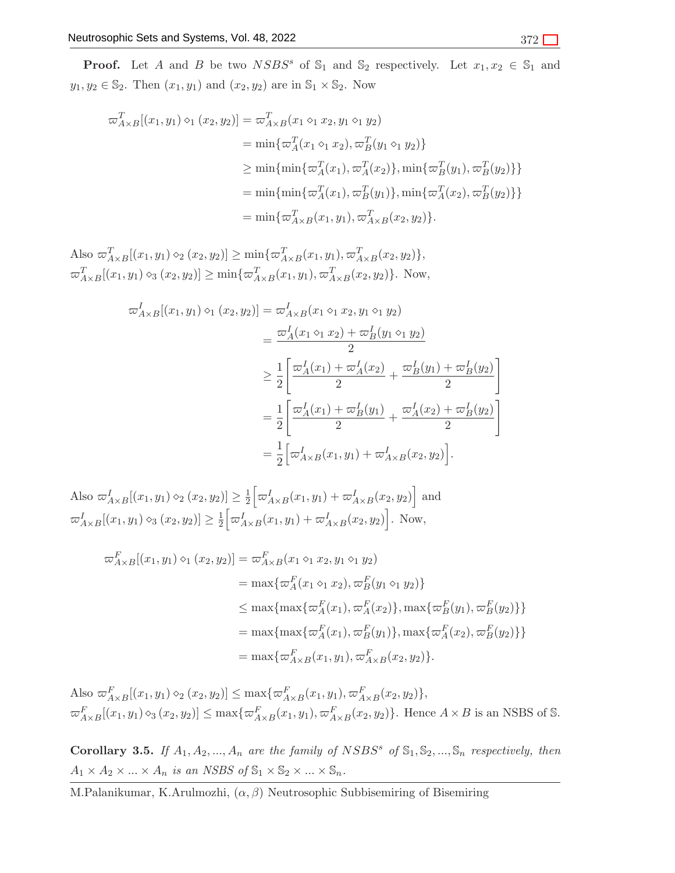**Proof.** Let A and B be two  $NSBS^s$  of  $\mathbb{S}_1$  and  $\mathbb{S}_2$  respectively. Let  $x_1, x_2 \in \mathbb{S}_1$  and  $y_1, y_2 \in \mathbb{S}_2$ . Then  $(x_1, y_1)$  and  $(x_2, y_2)$  are in  $\mathbb{S}_1 \times \mathbb{S}_2$ . Now

$$
\begin{aligned}\n\varpi_{A\times B}^{T}[(x_1, y_1) \diamond_1 (x_2, y_2)] &= \varpi_{A\times B}^{T}(x_1 \diamond_1 x_2, y_1 \diamond_1 y_2) \\
&= \min \{\varpi_A^{T}(x_1 \diamond_1 x_2), \varpi_B^{T}(y_1 \diamond_1 y_2)\} \\
&\geq \min \{\min \{\varpi_A^{T}(x_1), \varpi_A^{T}(x_2)\}, \min \{\varpi_B^{T}(y_1), \varpi_B^{T}(y_2)\}\} \\
&= \min \{\min \{\varpi_A^{T}(x_1), \varpi_B^{T}(y_1)\}, \min \{\varpi_A^{T}(x_2), \varpi_B^{T}(y_2)\}\} \\
&= \min \{\varpi_{A\times B}^{T}(x_1, y_1), \varpi_{A\times B}^{T}(x_2, y_2)\}.\n\end{aligned}
$$

Also  $\varpi_{A\times B}^{T}[(x_1,y_1)\diamond_2 (x_2,y_2)] \ge \min{\{\varpi_{A\times B}^{T}(x_1,y_1), \varpi_{A\times B}^{T}(x_2,y_2)\}},$  $\varpi_{A\times B}^T[(x_1,y_1)\diamond_3(x_2,y_2)] \ge \min\{\varpi_{A\times B}^T(x_1,y_1),\varpi_{A\times B}^T(x_2,y_2)\}.$  Now,

$$
\begin{split} \n\varpi_{A\times B}^{I}[(x_{1},y_{1})\diamond_{1}(x_{2},y_{2})] &= \varpi_{A\times B}^{I}(x_{1}\diamond_{1}x_{2},y_{1}\diamond_{1}y_{2}) \\ \n&= \frac{\varpi_{A}^{I}(x_{1}\diamond_{1}x_{2}) + \varpi_{B}^{I}(y_{1}\diamond_{1}y_{2})}{2} \\ \n&\geq \frac{1}{2} \bigg[ \frac{\varpi_{A}^{I}(x_{1}) + \varpi_{A}^{I}(x_{2})}{2} + \frac{\varpi_{B}^{I}(y_{1}) + \varpi_{B}^{I}(y_{2})}{2} \bigg] \\ \n&= \frac{1}{2} \bigg[ \frac{\varpi_{A}^{I}(x_{1}) + \varpi_{B}^{I}(y_{1})}{2} + \frac{\varpi_{A}^{I}(x_{2}) + \varpi_{B}^{I}(y_{2})}{2} \bigg] \\ \n&= \frac{1}{2} \bigg[ \varpi_{A\times B}^{I}(x_{1},y_{1}) + \varpi_{A\times B}^{I}(x_{2},y_{2}) \bigg]. \n\end{split}
$$

Also  $\varpi_{A\times B}^{I}[(x_1,y_1)\diamond_2 (x_2,y_2)] \geq \frac{1}{2}$  $\frac{1}{2} \left[ \varpi_{A \times B}^{I}(x_1, y_1) + \varpi_{A \times B}^{I}(x_2, y_2) \right]$  and  $\varpi_{A\times B}^{I}[(x_1,y_1)\diamond_3(x_2,y_2)] \geq \frac{1}{2}$  $\frac{1}{2} \left[ \frac{\omega_{A\times B}^{I}(x_1, y_1) + \omega_{A\times B}^{I}(x_2, y_2)}{\omega_{A\times B}^{I}(x_1, y_1)} \right]$ . Now,

$$
\begin{aligned}\n\varpi_{A\times B}^{F}[(x_1, y_1) \diamond_1 (x_2, y_2)] &= \varpi_{A\times B}^{F}(x_1 \diamond_1 x_2, y_1 \diamond_1 y_2) \\
&= \max \{\varpi_A^{F}(x_1 \diamond_1 x_2), \varpi_B^{F}(y_1 \diamond_1 y_2)\} \\
&\leq \max \{\max \{\varpi_A^{F}(x_1), \varpi_A^{F}(x_2)\}, \max \{\varpi_B^{F}(y_1), \varpi_B^{F}(y_2)\}\} \\
&= \max \{\max \{\varpi_A^{F}(x_1), \varpi_B^{F}(y_1)\}, \max \{\varpi_A^{F}(x_2), \varpi_B^{F}(y_2)\}\} \\
&= \max \{\varpi_{A\times B}^{F}(x_1, y_1), \varpi_{A\times B}^{F}(x_2, y_2)\}.\n\end{aligned}
$$

Also  $\varpi_{A\times B}^F[(x_1,y_1)\diamond_2 (x_2,y_2)] \leq \max\{\varpi_{A\times B}^F(x_1,y_1), \varpi_{A\times B}^F(x_2,y_2)\},\,$  $\varpi_{A\times B}^F[(x_1,y_1)\diamond_3(x_2,y_2)] \le \max\{\varpi_{A\times B}^F(x_1,y_1),\varpi_{A\times B}^F(x_2,y_2)\}\.$  Hence  $A\times B$  is an NSBS of S.

**Corollary 3.5.** If  $A_1, A_2, ..., A_n$  are the family of NSBS<sup>s</sup> of  $\mathbb{S}_1, \mathbb{S}_2, ..., \mathbb{S}_n$  respectively, then  $A_1 \times A_2 \times \ldots \times A_n$  is an NSBS of  $\mathbb{S}_1 \times \mathbb{S}_2 \times \ldots \times \mathbb{S}_n$ .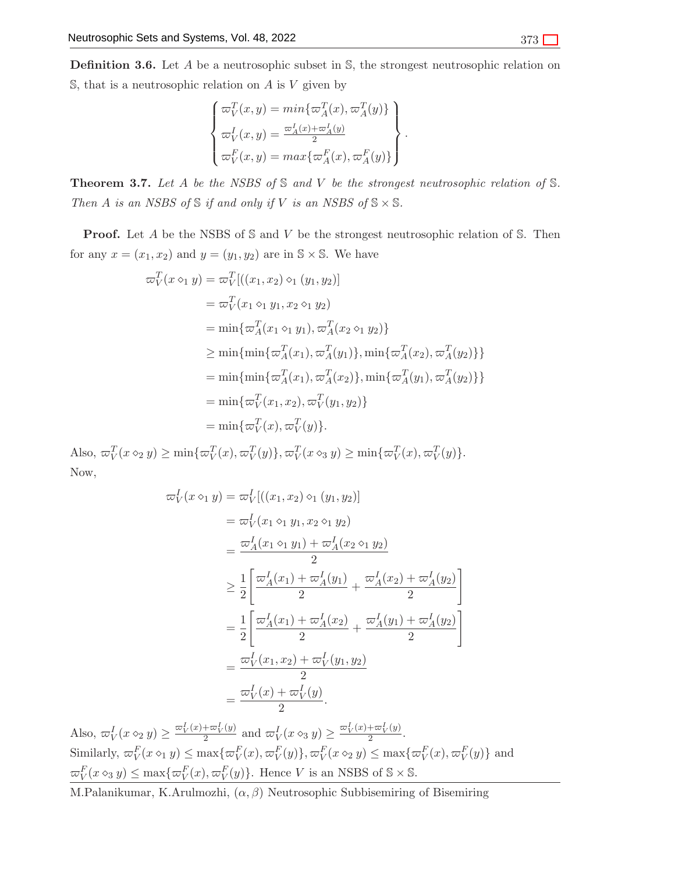**Definition 3.6.** Let  $A$  be a neutrosophic subset in  $S$ , the strongest neutrosophic relation on  $\mathbb{S}$ , that is a neutrosophic relation on A is V given by

$$
\begin{cases}\n\varpi_V^T(x,y) = \min\{\varpi_A^T(x), \varpi_A^T(y)\} \\
\varpi_V^I(x,y) = \frac{\varpi_A^I(x) + \varpi_A^I(y)}{2} \\
\varpi_V^F(x,y) = \max\{\varpi_A^F(x), \varpi_A^F(y)\}\n\end{cases}.
$$

<span id="page-5-0"></span>**Theorem 3.7.** Let A be the NSBS of  $\mathbb S$  and  $V$  be the strongest neutrosophic relation of  $\mathbb S$ . Then A is an NSBS of  $\mathcal S$  if and only if V is an NSBS of  $\mathcal S \times \mathcal S$ .

**Proof.** Let A be the NSBS of S and V be the strongest neutrosophic relation of S. Then for any  $x = (x_1, x_2)$  and  $y = (y_1, y_2)$  are in  $\mathbb{S} \times \mathbb{S}$ . We have

$$
\begin{aligned}\n\varpi_V^T(x \diamond_1 y) &= \varpi_V^T[( (x_1, x_2) \diamond_1 (y_1, y_2)] \\
&= \varpi_V^T(x_1 \diamond_1 y_1, x_2 \diamond_1 y_2) \\
&= \min \{ \varpi_A^T(x_1 \diamond_1 y_1), \varpi_A^T(x_2 \diamond_1 y_2) \} \\
&\ge \min \{ \min \{ \varpi_A^T(x_1), \varpi_A^T(y_1) \}, \min \{ \varpi_A^T(x_2), \varpi_A^T(y_2) \} \} \\
&= \min \{ \min \{ \varpi_A^T(x_1), \varpi_A^T(x_2) \}, \min \{ \varpi_A^T(y_1), \varpi_A^T(y_2) \} \} \\
&= \min \{ \varpi_V^T(x_1, x_2), \varpi_V^T(y_1, y_2) \} \\
&= \min \{ \varpi_V^T(x), \varpi_V^T(y) \}.\n\end{aligned}
$$

Also,  $\omega_V^T(x \diamond_2 y) \ge \min\{\omega_V^T(x), \omega_V^T(y)\}, \omega_V^T(x \diamond_3 y) \ge \min\{\omega_V^T(x), \omega_V^T(y)\}.$ Now,

$$
\begin{split}\n\varpi_{V}^{I}(x \diamond_{1} y) &= \varpi_{V}^{I}[(x_{1}, x_{2}) \diamond_{1} (y_{1}, y_{2})] \\
&= \varpi_{V}^{I}(x_{1} \diamond_{1} y_{1}, x_{2} \diamond_{1} y_{2}) \\
&= \frac{\varpi_{A}^{I}(x_{1} \diamond_{1} y_{1}) + \varpi_{A}^{I}(x_{2} \diamond_{1} y_{2})}{2} \\
&\geq \frac{1}{2} \left[ \frac{\varpi_{A}^{I}(x_{1}) + \varpi_{A}^{I}(y_{1})}{2} + \frac{\varpi_{A}^{I}(x_{2}) + \varpi_{A}^{I}(y_{2})}{2} \right] \\
&= \frac{1}{2} \left[ \frac{\varpi_{A}^{I}(x_{1}) + \varpi_{A}^{I}(x_{2})}{2} + \frac{\varpi_{A}^{I}(y_{1}) + \varpi_{A}^{I}(y_{2})}{2} \right] \\
&= \frac{\varpi_{V}^{I}(x_{1}, x_{2}) + \varpi_{V}^{I}(y_{1}, y_{2})}{2} \\
&= \frac{\varpi_{V}^{I}(x) + \varpi_{V}^{I}(y)}{2}.\n\end{split}
$$

Also,  $\overline{\omega}_V^I(x \diamond_2 y) \ge \frac{\overline{\omega}_V^I(x) + \overline{\omega}_V^I(y)}{2}$  $\frac{1}{2} \frac{\varpi_V^I(y)}{2}$  and  $\varpi_V^I(x \diamond_3 y) \geq \frac{\varpi_V^I(x) + \varpi_V^I(y)}{2}$  $\frac{f^2\omega_V(g)}{2}.$ Similarly,  $\varpi_V^F(x \diamond_1 y) \le \max\{\varpi_V^F(x), \varpi_V^F(y)\}, \varpi_V^F(x \diamond_2 y) \le \max\{\varpi_V^F(x), \varpi_V^F(y)\}$  and  $\varpi_V^F(x \diamond_3 y) \le \max\{\varpi_V^F(x), \varpi_V^F(y)\}.$  Hence V is an NSBS of  $\mathbb{S} \times \mathbb{S}$ .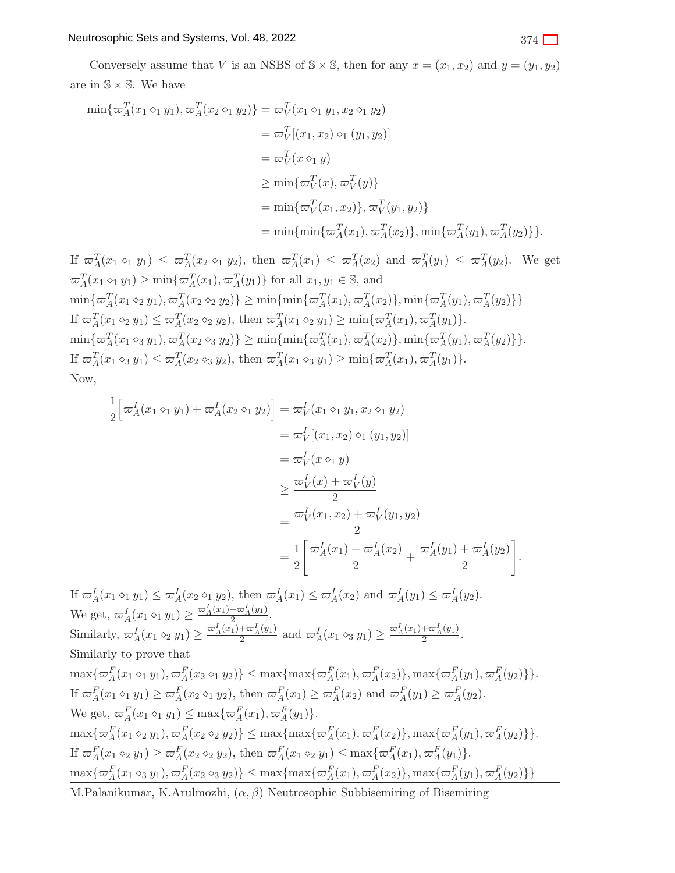Conversely assume that V is an NSBS of  $\mathbb{S} \times \mathbb{S}$ , then for any  $x = (x_1, x_2)$  and  $y = (y_1, y_2)$ are in  $\mathbb{S} \times \mathbb{S}$ . We have

$$
\min{\lbrace \varpi_A^T(x_1 \diamond_1 y_1), \varpi_A^T(x_2 \diamond_1 y_2) \rbrace} = \varpi_V^T(x_1 \diamond_1 y_1, x_2 \diamond_1 y_2)
$$
  
\n
$$
= \varpi_V^T[(x_1, x_2) \diamond_1 (y_1, y_2)]
$$
  
\n
$$
= \varpi_V^T(x \diamond_1 y)
$$
  
\n
$$
\geq \min{\lbrace \varpi_V^T(x), \varpi_V^T(y) \rbrace}
$$
  
\n
$$
= \min{\lbrace \varpi_V^T(x_1, x_2) \rbrace, \varpi_V^T(y_1, y_2) \rbrace}
$$
  
\n
$$
= \min{\lbrace \min{\lbrace \varpi_A^T(x_1), \varpi_A^T(x_2) \rbrace, \min{\lbrace \varpi_A^T(y_1), \varpi_A^T(y_2) \rbrace \rbrace}}.
$$

If 
$$
\varpi_A^T(x_1 \circ_1 y_1) \leq \varpi_A^T(x_2 \circ_1 y_2)
$$
, then  $\varpi_A^T(x_1) \leq \varpi_A^T(x_2)$  and  $\varpi_A^T(y_1) \leq \varpi_A^T(y_2)$ . We get  
\n $\varpi_A^T(x_1 \circ_1 y_1) \geq \min{\lbrace \varpi_A^T(x_1), \varpi_A^T(y_1) \rbrace}$  for all  $x_1, y_1 \in \mathbb{S}$ , and  
\n $\min{\lbrace \varpi_A^T(x_1 \circ_2 y_1), \varpi_A^T(x_2 \circ_2 y_2) \rbrace} \geq \min{\lbrace \min{\lbrace \varpi_A^T(x_1), \varpi_A^T(x_2) \rbrace}, \min{\lbrace \varpi_A^T(y_1), \varpi_A^T(y_2) \rbrace} \rbrace}$   
\nIf  $\varpi_A^T(x_1 \circ_2 y_1) \leq \varpi_A^T(x_2 \circ_2 y_2)$ , then  $\varpi_A^T(x_1 \circ_2 y_1) \geq \min{\lbrace \varpi_A^T(x_1), \varpi_A^T(y_1) \rbrace}.$   
\n $\min{\lbrace \varpi_A^T(x_1 \circ_3 y_1), \varpi_A^T(x_2 \circ_3 y_2) \rbrace} \geq \min{\lbrace \min{\lbrace \varpi_A^T(x_1), \varpi_A^T(x_2) \rbrace}, \min{\lbrace \varpi_A^T(y_1), \varpi_A^T(y_2) \rbrace} \rbrace}.$   
\nIf  $\varpi_A^T(x_1 \circ_3 y_1) \leq \varpi_A^T(x_2 \circ_3 y_2)$ , then  $\varpi_A^T(x_1 \circ_3 y_1) \geq \min{\lbrace \varpi_A^T(x_1), \varpi_A^T(y_1) \rbrace}.$   
\nNow,

$$
\frac{1}{2} \Big[ \varpi_A^I(x_1 \diamond_1 y_1) + \varpi_A^I(x_2 \diamond_1 y_2) \Big] = \varpi_V^I(x_1 \diamond_1 y_1, x_2 \diamond_1 y_2)
$$
\n
$$
= \varpi_V^I[(x_1, x_2) \diamond_1 (y_1, y_2)]
$$
\n
$$
= \varpi_V^I(x \diamond_1 y)
$$
\n
$$
\geq \frac{\varpi_V^I(x) + \varpi_V^I(y)}{2}
$$
\n
$$
= \frac{\varpi_V^I(x_1, x_2) + \varpi_V^I(y_1, y_2)}{2}
$$
\n
$$
= \frac{1}{2} \Big[ \frac{\varpi_A^I(x_1) + \varpi_A^I(x_2)}{2} + \frac{\varpi_A^I(y_1) + \varpi_A^I(y_2)}{2} \Big].
$$

If  $\overline{\omega}_A^I(x_1 \circ_1 y_1) \leq \overline{\omega}_A^I(x_2 \circ_1 y_2)$ , then  $\overline{\omega}_A^I(x_1) \leq \overline{\omega}_A^I(x_2)$  and  $\overline{\omega}_A^I(y_1) \leq \overline{\omega}_A^I(y_2)$ . We get,  $\varpi_A^I(x_1 \diamond_1 y_1) \geq \frac{\varpi_A^I(x_1) + \varpi_A^I(y_1)}{2}$ . Similarly,  $\omega_A^I(x_1 \diamond_2 y_1) \ge \frac{\omega_A^I(x_1) + \omega_A^I(y_1)}{2}$  and  $\omega_A^I(x_1 \diamond_3 y_1) \ge \frac{\omega_A^I(x_1) + \omega_A^I(y_1)}{2}$ . Similarly to prove that  $\max\{\varpi_A^F(x_1 \circ_1 y_1), \varpi_A^F(x_2 \circ_1 y_2)\} \leq \max\{\max\{\varpi_A^F(x_1), \varpi_A^F(x_2)\}, \max\{\varpi_A^F(y_1), \varpi_A^F(y_2)\}\}.$ If  $\varpi_A^F(x_1 \circ_1 y_1) \ge \varpi_A^F(x_2 \circ_1 y_2)$ , then  $\varpi_A^F(x_1) \ge \varpi_A^F(x_2)$  and  $\varpi_A^F(y_1) \ge \varpi_A^F(y_2)$ . We get,  $\varpi_A^F(x_1 \diamond_1 y_1) \leq \max{\lbrace \varpi_A^F(x_1), \varpi_A^F(y_1) \rbrace}$ .  $\max\{\varpi_A^F(x_1 \diamond_2 y_1), \varpi_A^F(x_2 \diamond_2 y_2)\} \leq \max\{\max\{\varpi_A^F(x_1), \varpi_A^F(x_2)\}, \max\{\varpi_A^F(y_1), \varpi_A^F(y_2)\}\}.$ If  $\varpi_A^F(x_1 \diamond_2 y_1) \geq \varpi_A^F(x_2 \diamond_2 y_2)$ , then  $\varpi_A^F(x_1 \diamond_2 y_1) \leq \max{\{\varpi_A^F(x_1), \varpi_A^F(y_1)\}}$ .  $\max\{\varpi_A^F(x_1 \otimes_3 y_1), \varpi_A^F(x_2 \otimes_3 y_2)\} \le \max\{\max\{\varpi_A^F(x_1), \varpi_A^F(x_2)\}, \max\{\varpi_A^F(y_1), \varpi_A^F(y_2)\}\}\$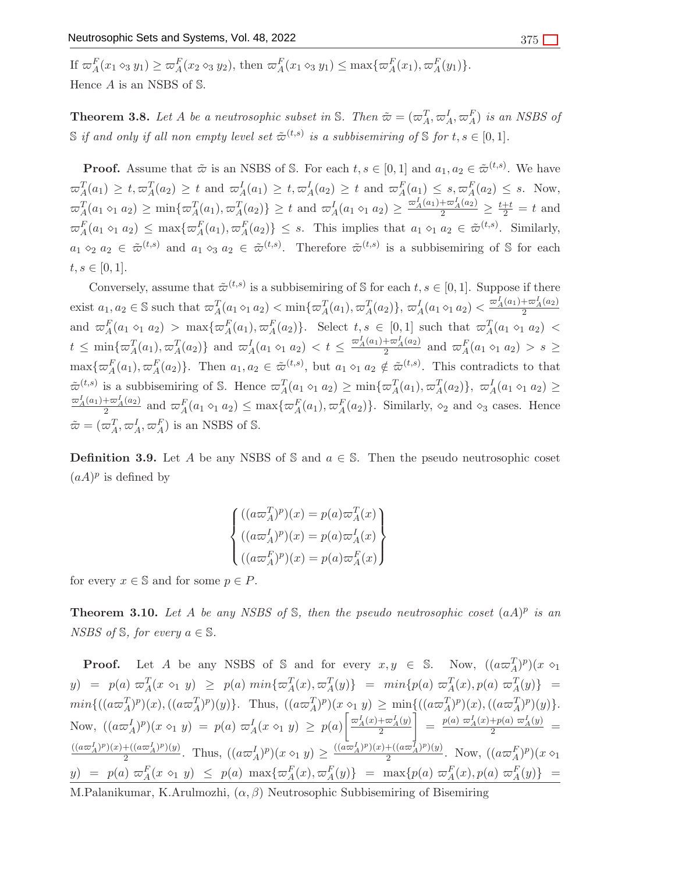If  $\varpi_A^F(x_1 \otimes_3 y_1) \ge \varpi_A^F(x_2 \otimes_3 y_2)$ , then  $\varpi_A^F(x_1 \otimes_3 y_1) \le \max{\{\varpi_A^F(x_1), \varpi_A^F(y_1)\}}$ . Hence A is an NSBS of S.

**Theorem 3.8.** Let A be a neutrosophic subset in S. Then  $\tilde{\boldsymbol{\omega}} = (\varpi_A^T, \varpi_A^I, \varpi_A^F)$  is an NSBS of  $\mathbb S$  if and only if all non empty level set  $\tilde{\varpi}^{(t,s)}$  is a subbisemiring of  $\mathbb S$  for  $t,s\in[0,1].$ 

**Proof.** Assume that  $\tilde{\varpi}$  is an NSBS of S. For each  $t, s \in [0,1]$  and  $a_1, a_2 \in \tilde{\varpi}^{(t,s)}$ . We have  $\varpi_A^T(a_1) \geq t, \varpi_A^T(a_2) \geq t$  and  $\varpi_A^I(a_1) \geq t, \varpi_A^I(a_2) \geq t$  and  $\varpi_A^F(a_1) \leq s, \varpi_A^F(a_2) \leq s$ . Now,  $\varpi_A^T(a_1 \circ_1 a_2) \ge \min\{\varpi_A^T(a_1), \varpi_A^T(a_2)\} \ge t$  and  $\varpi_A^I(a_1 \circ_1 a_2) \ge \frac{\varpi_A^I(a_1) + \varpi_A^I(a_2)}{2} \ge \frac{t+t}{2} = t$  and  $\varpi_A^F(a_1 \circ_1 a_2) \leq \max\{\varpi_A^F(a_1), \varpi_A^F(a_2)\} \leq s$ . This implies that  $a_1 \circ_1 a_2 \in \tilde{\varpi}^{(t,s)}$ . Similarly,  $a_1 \diamond_2 a_2 \in \tilde{\varpi}^{(t,s)}$  and  $a_1 \diamond_3 a_2 \in \tilde{\varpi}^{(t,s)}$ . Therefore  $\tilde{\varpi}^{(t,s)}$  is a subbisemiring of S for each  $t, s \in [0, 1].$ 

Conversely, assume that  $\tilde{\varpi}^{(t,s)}$  is a subbisemiring of S for each  $t, s \in [0,1]$ . Suppose if there exist  $a_1, a_2 \in \mathbb{S}$  such that  $\varpi_A^T(a_1 \diamond_1 a_2) < \min\{\varpi_A^T(a_1), \varpi_A^T(a_2)\}, \varpi_A^T(a_1 \diamond_1 a_2) < \frac{\varpi_A^T(a_1) + \varpi_A^T(a_2)}{2}$ and  $\varpi_A^F(a_1 \diamond_1 a_2) > \max{\lbrace \varpi_A^F(a_1), \varpi_A^F(a_2) \rbrace}$ . Select  $t, s \in [0,1]$  such that  $\varpi_A^T(a_1 \diamond_1 a_2) <$  $t \leq \min\{\varpi_A^T(a_1), \varpi_A^T(a_2)\}\$  and  $\varpi_A^I(a_1 \diamond_1 a_2) < t \leq \frac{\varpi_A^I(a_1) + \varpi_A^I(a_2)}{2}$  and  $\varpi_A^F(a_1 \diamond_1 a_2) > s \geq$  $\max\{\varpi_A^F(a_1), \varpi_A^F(a_2)\}.$  Then  $a_1, a_2 \in \tilde{\varpi}^{(t,s)}$ , but  $a_1 \diamond_1 a_2 \notin \tilde{\varpi}^{(t,s)}$ . This contradicts to that  $\tilde{\varpi}^{(t,s)}$  is a subbisemiring of S. Hence  $\varpi_A^T(a_1 \circ_1 a_2) \ge \min{\lbrace \varpi_A^T(a_1), \varpi_A^T(a_2) \rbrace}$ ,  $\varpi_A^I(a_1 \circ_1 a_2) \ge$  $\frac{\varpi_A^I(a_1)+\varpi_A^I(a_2)}{2}$  and  $\varpi_A^F(a_1 \circ_1 a_2) \leq \max{\lbrace \varpi_A^F(a_1), \varpi_A^F(a_2) \rbrace}$ . Similarly,  $\diamond_2$  and  $\diamond_3$  cases. Hence  $\tilde{\omega} = (\omega_A^T, \omega_A^I, \omega_A^F)$  is an NSBS of S.

**Definition 3.9.** Let A be any NSBS of S and  $a \in S$ . Then the pseudo neutrosophic coset  $(aA)^p$  is defined by

$$
\begin{cases}\n((a\varpi_A^T)^p)(x) = p(a)\varpi_A^T(x) \\
((a\varpi_A^I)^p)(x) = p(a)\varpi_A^I(x) \\
((a\varpi_A^F)^p)(x) = p(a)\varpi_A^F(x)\n\end{cases}
$$

for every  $x \in \mathbb{S}$  and for some  $p \in P$ .

**Theorem 3.10.** Let A be any NSBS of  $\mathbb{S}$ , then the pseudo neutrosophic coset  $(aA)^p$  is an NSBS of  $\mathbb{S}$ , for every  $a \in \mathbb{S}$ .

**Proof.** Let A be any NSBS of S and for every  $x, y \in S$ . Now,  $((a\omega_A^T)^p)(x \diamond_1)$  $y) = p(a) \; \varpi_A^T(x \, \diamond_1 \, y) \; \geq \; p(a) \; min\{\varpi_A^T(x), \varpi_A^T(y)\} \; = \; min\{p(a) \; \varpi_A^T(x), p(a) \; \varpi_A^T(y)\} \; = \;$  $min\{((a\varpi_A^T)^p)(x),((a\varpi_A^T)^p)(y)\}.$  Thus,  $((a\varpi_A^T)^p)(x \circ_1 y) \geq min\{((a\varpi_A^T)^p)(x),((a\varpi_A^T)^p)(y)\}.$ Now,  $((a\varpi_A^I)^p)(x \diamond_1 y) = p(a) \varpi_A^I(x \diamond_1 y) \geq p(a) \left[ \frac{\varpi_A^I(x) + \varpi_A^I(y)}{2} \right]$  $\Bigg[ = \frac{p(a) \ \varpi_A^I(x) + p(a) \ \varpi_A^I(y)}{2} =$  $\frac{((a\varpi_A^I)^p)(x)+((a\varpi_A^I)^p)(y)}{(\varpi_A^I)^p}$  $\frac{+\left((a\varpi_A^I)^p(y)}{2}\right)}{2}$ . Thus,  $\left((a\varpi_A^I)^p(x\varphi_1|y)\right)\geq \frac{((a\varpi_A^I)^p)(x)+((a\varpi_A^I)^p)(y)}{2}$  $\frac{1}{2} \left( \frac{(a\varpi_A)^p}{y} \right)$ . Now,  $((a\varpi_A^F)^p)(x \diamond_1)$  $y) = p(a) \ \pi_A^F(x \leq_1 y) \leq p(a) \ \max{\{\pi_A^F(x), \pi_A^F(y)\}} = \max{\{p(a) \ \pi_A^F(x), p(a) \ \pi_A^F(y)\}} =$ M.Palanikumar, K.Arulmozhi,  $(\alpha, \beta)$  Neutrosophic Subbisemiring of Bisemiring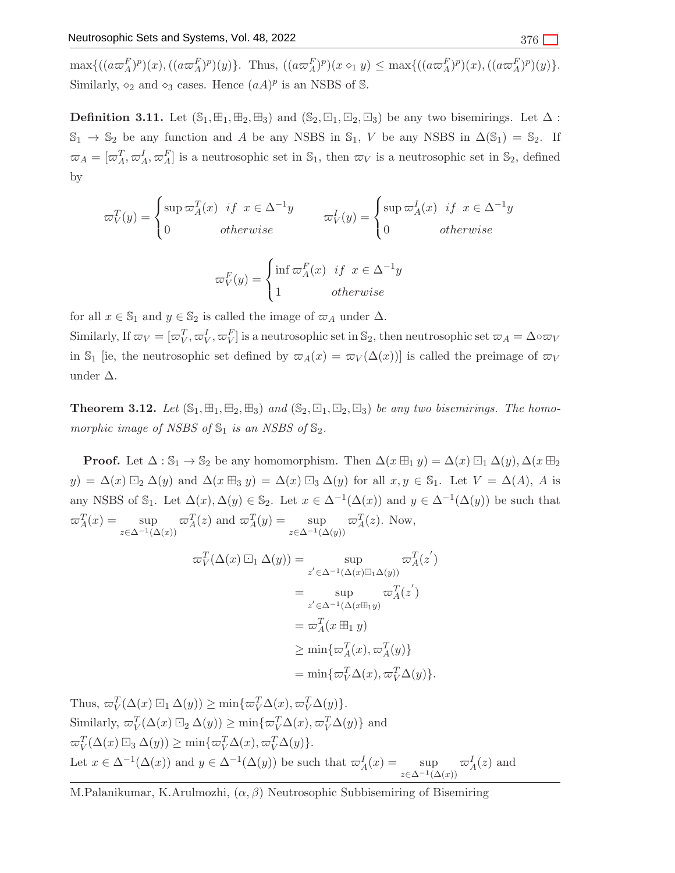$\max\{((a\varpi_A^F)^p)(x),((a\varpi_A^F)^p)(y)\}\.$  Thus,  $((a\varpi_A^F)^p)(x\circ_1 y) \leq \max\{((a\varpi_A^F)^p)(x),((a\varpi_A^F)^p)(y)\}\.$ Similarly,  $\diamond_2$  and  $\diamond_3$  cases. Hence  $(aA)^p$  is an NSBS of S.

**Definition 3.11.** Let  $(\mathbb{S}_1, \boxplus_1, \boxplus_2, \boxplus_3)$  and  $(\mathbb{S}_2, \boxminus_1, \boxminus_2, \boxminus_3)$  be any two bisemirings. Let  $\Delta$ :  $\mathbb{S}_1 \to \mathbb{S}_2$  be any function and A be any NSBS in  $\mathbb{S}_1$ , V be any NSBS in  $\Delta(\mathbb{S}_1) = \mathbb{S}_2$ . If  $\varpi_A = [\varpi_A^T, \varpi_A^I, \varpi_A^F]$  is a neutrosophic set in  $\mathbb{S}_1$ , then  $\varpi_V$  is a neutrosophic set in  $\mathbb{S}_2$ , defined by

$$
\varpi_V^T(y) = \begin{cases} \sup \varpi_A^T(x) & \text{if } x \in \Delta^{-1}y \\ 0 & \text{otherwise} \end{cases} \qquad \varpi_V^I(y) = \begin{cases} \sup \varpi_A^I(x) & \text{if } x \in \Delta^{-1}y \\ 0 & \text{otherwise} \end{cases}
$$
\n
$$
\varpi_V^F(y) = \begin{cases} \inf \varpi_A^F(x) & \text{if } x \in \Delta^{-1}y \\ \end{cases}
$$

 $\mathcal{L}$ for all  $x \in \mathbb{S}_1$  and  $y \in \mathbb{S}_2$  is called the image of  $\varpi_A$  under  $\Delta$ .

Similarly, If  $\varpi_V = [\varpi_V^T, \varpi_V^I, \varpi_V^F]$  is a neutrosophic set in  $\mathbb{S}_2$ , then neutrosophic set  $\varpi_A = \Delta \circ \varpi_V$ in S<sub>1</sub> [ie, the neutrosophic set defined by  $\varpi_A(x) = \varpi_V(\Delta(x))$ ] is called the preimage of  $\varpi_V$ under ∆.

otherwise

<span id="page-8-0"></span>**Theorem 3.12.** Let  $(\mathbb{S}_1, \boxplus_1, \boxplus_2, \boxplus_3)$  and  $(\mathbb{S}_2, \boxminus_1, \boxminus_2, \boxminus_3)$  be any two bisemirings. The homomorphic image of NSBS of  $\mathbb{S}_1$  is an NSBS of  $\mathbb{S}_2$ .

**Proof.** Let  $\Delta : \mathbb{S}_1 \to \mathbb{S}_2$  be any homomorphism. Then  $\Delta(x \boxplus_1 y) = \Delta(x) \boxdot_1 \Delta(y)$ ,  $\Delta(x \boxplus_2$  $y) = \Delta(x) \boxdot_2 \Delta(y)$  and  $\Delta(x \boxplus_3 y) = \Delta(x) \boxdot_3 \Delta(y)$  for all  $x, y \in \mathbb{S}_1$ . Let  $V = \Delta(A)$ , A is any NSBS of  $\mathbb{S}_1$ . Let  $\Delta(x), \Delta(y) \in \mathbb{S}_2$ . Let  $x \in \Delta^{-1}(\Delta(x))$  and  $y \in \Delta^{-1}(\Delta(y))$  be such that  $\varpi_A^T(x) = \sup$  $z\in\Delta^{-1}(\Delta(x))$  $\varpi_A^T(z)$  and  $\varpi_A^T(y) = \sup$  $z\in\Delta^{-1}(\Delta(y))$  $\varpi_A^T(z)$ . Now,

$$
\begin{aligned}\n\varpi_V^T(\Delta(x)\boxdot_1 \Delta(y)) &= \sup_{z' \in \Delta^{-1}(\Delta(x)\boxdot_1 \Delta(y))} \varpi_A^T(z') \\
&= \sup_{z' \in \Delta^{-1}(\Delta(x\boxplus_1 y))} \varpi_A^T(z') \\
&= \varpi_A^T(x \boxplus_1 y) \\
&\ge \min\{\varpi_A^T(x), \varpi_A^T(y)\} \\
&= \min\{\varpi_V^T\Delta(x), \varpi_V^T\Delta(y)\}.\n\end{aligned}
$$

Thus,  $\varpi_V^T(\Delta(x) \boxdot_1 \Delta(y)) \ge \min{\lbrace \varpi_V^T \Delta(x), \varpi_V^T \Delta(y) \rbrace}.$ Similarly,  $\omega_V^T(\Delta(x) \boxdot_2 \Delta(y)) \ge \min{\{\omega_V^T\Delta(x), \omega_V^T\Delta(y)\}}$  and  $\varpi_V^T(\Delta(x) \boxdot_3 \Delta(y)) \ge \min{\{\varpi_V^T \Delta(x), \varpi_V^T \Delta(y)\}}.$ Let  $x \in \Delta^{-1}(\Delta(x))$  and  $y \in \Delta^{-1}(\Delta(y))$  be such that  $\varpi_A^I(x) = \sup_{\Delta}$  $z\in\Delta^{-1}(\Delta(x))$  $\varpi_A^I(z)$  and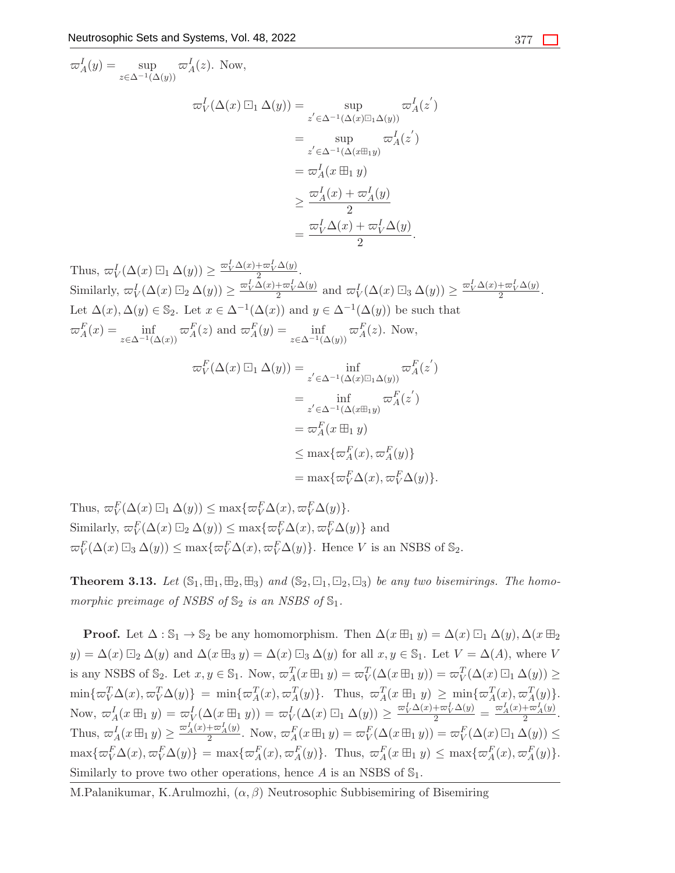$$
\begin{aligned}\n\varpi_A^I(y) &= \sup_{z \in \Delta^{-1}(\Delta(y))} \varpi_A^I(z). \text{ Now,} \\
\varpi_V^I(\Delta(x) \boxdot_1 \Delta(y)) &= \sup_{z' \in \Delta^{-1}(\Delta(x) \boxdot_1 \Delta(y))} \varpi_A^I(z') \\
&= \sup_{z' \in \Delta^{-1}(\Delta(x \boxplus_1 y))} \varpi_A^I(z') \\
&= \varpi_A^I(x \boxplus_1 y) \\
&\ge \frac{\varpi_A^I(x) + \varpi_A^I(y)}{2} \\
&= \frac{\varpi_V^I \Delta(x) + \varpi_V^I \Delta(y)}{2}.\n\end{aligned}
$$

Thus, 
$$
\varpi_V^I(\Delta(x) \boxdot_1 \Delta(y)) \ge \frac{\varpi_V^I \Delta(x) + \varpi_V^I \Delta(y)}{2}
$$
.  
\nSimilarly,  $\varpi_V^I(\Delta(x) \boxdot_2 \Delta(y)) \ge \frac{\varpi_V^I \Delta(x) + \varpi_V^I \Delta(y)}{2}$  and  $\varpi_V^I(\Delta(x) \boxdot_3 \Delta(y)) \ge \frac{\varpi_V^I \Delta(x) + \varpi_V^I \Delta(y)}{2}$ .  
\nLet  $\Delta(x)$ ,  $\Delta(y) \in \mathbb{S}_2$ . Let  $x \in \Delta^{-1}(\Delta(x))$  and  $y \in \Delta^{-1}(\Delta(y))$  be such that  
\n $\varpi_A^F(x) = \inf_{z \in \Delta^{-1}(\Delta(x))} \varpi_A^F(z)$  and  $\varpi_A^F(y) = \inf_{z \in \Delta^{-1}(\Delta(y))} \varpi_A^F(z)$ . Now,

$$
\begin{split} \varpi_V^F(\Delta(x)\boxdot_1 \Delta(y)) &= \inf_{z' \in \Delta^{-1}(\Delta(x)\boxdot_1 \Delta(y))} \varpi_A^F(z') \\ &= \inf_{z' \in \Delta^{-1}(\Delta(x\boxplus_1 y))} \varpi_A^F(z') \\ &= \varpi_A^F(x\boxdot_1 y) \\ &\le \max\{\varpi_A^F(x), \varpi_A^F(y)\} \\ &= \max\{\varpi_V^F\Delta(x), \varpi_V^F\Delta(y)\}. \end{split}
$$

Thus,  $\varpi_V^F(\Delta(x) \boxdot_1 \Delta(y)) \leq \max{\{\varpi_V^F \Delta(x), \varpi_V^F \Delta(y)\}}.$ Similarly,  $\varpi_V^F(\Delta(x) \boxdot_2 \Delta(y)) \leq \max{\lbrace \varpi_V^F \Delta(x), \varpi_V^F \Delta(y) \rbrace}$  and  $\varpi_V^F(\Delta(x) \boxdot_3 \Delta(y)) \le \max\{\varpi_V^F \Delta(x), \varpi_V^F \Delta(y)\}.$  Hence V is an NSBS of  $\mathbb{S}_2$ .

<span id="page-9-0"></span>**Theorem 3.13.** Let  $(\mathbb{S}_1, \boxplus_1, \boxplus_2, \boxplus_3)$  and  $(\mathbb{S}_2, \boxminus_1, \boxminus_2, \boxminus_3)$  be any two bisemirings. The homomorphic preimage of NSBS of  $\mathbb{S}_2$  is an NSBS of  $\mathbb{S}_1$ .

**Proof.** Let  $\Delta : \mathbb{S}_1 \to \mathbb{S}_2$  be any homomorphism. Then  $\Delta(x \boxplus_1 y) = \Delta(x) \boxdot_1 \Delta(y)$ ,  $\Delta(x \boxplus_2$  $y) = \Delta(x) \boxdot_2 \Delta(y)$  and  $\Delta(x \boxplus_3 y) = \Delta(x) \boxdot_3 \Delta(y)$  for all  $x, y \in \mathbb{S}_1$ . Let  $V = \Delta(A)$ , where V is any NSBS of  $\mathbb{S}_2$ . Let  $x, y \in \mathbb{S}_1$ . Now,  $\varpi_A^T(x \boxplus_1 y) = \varpi_V^T(\Delta(x \boxplus_1 y)) = \varpi_V^T(\Delta(x) \boxdot_1 \Delta(y)) \ge$  $\min\{\varpi_V^T\Delta(x),\varpi_V^T\Delta(y)\} = \min\{\varpi_A^T(x),\varpi_A^T(y)\}.$  Thus,  $\varpi_A^T(x \boxplus_1 y) \geq \min\{\varpi_A^T(x),\varpi_A^T(y)\}.$ Now,  $\varpi_A^I(x \boxplus_1 y) = \varpi_V^I(\Delta(x \boxplus_1 y)) = \varpi_V^I(\Delta(x) \boxdot_1 \Delta(y)) \ge \frac{\varpi_V^I \Delta(x) + \varpi_V^I \Delta(y)}{2} = \frac{\varpi_A^I(x) + \varpi_A^I(y)}{2}.$ Thus,  $\varpi_A^I(x \boxplus_1 y) \ge \frac{\varpi_A^I(x) + \varpi_A^I(y)}{2}$ . Now,  $\varpi_A^F(x \boxplus_1 y) = \varpi_V^F(\Delta(x \boxplus_1 y)) = \varpi_V^F(\Delta(x) \boxdot_1 \Delta(y)) \le$  $\max\{\varpi_V^F\Delta(x), \varpi_V^F\Delta(y)\} = \max\{\varpi_A^F(x), \varpi_A^F(y)\}.$  Thus,  $\varpi_A^F(x \boxplus_1 y) \leq \max\{\varpi_A^F(x), \varpi_A^F(y)\}.$ Similarly to prove two other operations, hence A is an NSBS of  $\mathbb{S}_1$ .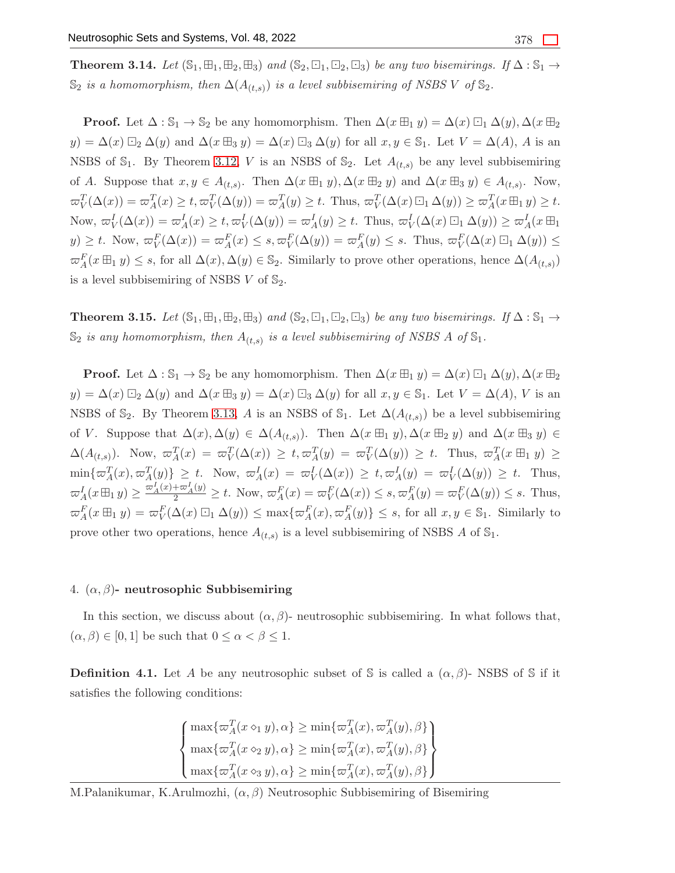**Theorem 3.14.** Let  $(\mathbb{S}_1, \boxplus_1, \boxplus_2, \boxplus_3)$  and  $(\mathbb{S}_2, \boxminus_1, \boxminus_2, \boxminus_3)$  be any two bisemirings. If  $\Delta : \mathbb{S}_1 \rightarrow$  $\mathbb{S}_2$  is a homomorphism, then  $\Delta(A_{(t,s)})$  is a level subbisemiring of NSBS V of  $\mathbb{S}_2$ .

**Proof.** Let  $\Delta : \mathbb{S}_1 \to \mathbb{S}_2$  be any homomorphism. Then  $\Delta(x \boxplus_1 y) = \Delta(x) \boxdot_1 \Delta(y)$ ,  $\Delta(x \boxplus_2$  $y) = \Delta(x) \boxdot_2 \Delta(y)$  and  $\Delta(x \boxplus_3 y) = \Delta(x) \boxdot_3 \Delta(y)$  for all  $x, y \in \mathbb{S}_1$ . Let  $V = \Delta(A)$ , A is an NSBS of  $\mathbb{S}_1$ . By Theorem [3.12,](#page-8-0) V is an NSBS of  $\mathbb{S}_2$ . Let  $A_{(t,s)}$  be any level subbisemiring of A. Suppose that  $x, y \in A_{(t,s)}$ . Then  $\Delta(x \boxplus_1 y), \Delta(x \boxplus_2 y)$  and  $\Delta(x \boxplus_3 y) \in A_{(t,s)}$ . Now,  $\varpi_V^T(\Delta(x)) = \varpi_A^T(x) \ge t$ ,  $\varpi_V^T(\Delta(y)) = \varpi_A^T(y) \ge t$ . Thus,  $\varpi_V^T(\Delta(x) \boxdot_1 \Delta(y)) \ge \varpi_A^T(x \boxplus_1 y) \ge t$ . Now,  $\omega_V^I(\Delta(x)) = \omega_A^I(x) \ge t$ ,  $\omega_V^I(\Delta(y)) = \omega_A^I(y) \ge t$ . Thus,  $\omega_V^I(\Delta(x) \boxdot_1 \Delta(y)) \ge \omega_A^I(x \boxplus_1)$  $y) \geq t$ . Now,  $\varpi_V^F(\Delta(x)) = \varpi_A^F(x) \leq s$ ,  $\varpi_V^F(\Delta(y)) = \varpi_A^F(y) \leq s$ . Thus,  $\varpi_V^F(\Delta(x) \boxdot_1 \Delta(y)) \leq t$  $\varpi_A^F(x \boxplus_1 y) \leq s$ , for all  $\Delta(x), \Delta(y) \in \mathbb{S}_2$ . Similarly to prove other operations, hence  $\Delta(A_{(t,s)})$ is a level subbisemiring of NSBS  $V$  of  $\mathbb{S}_2$ .

**Theorem 3.15.** Let  $(\mathbb{S}_1, \boxplus_1, \boxplus_2, \boxplus_3)$  and  $(\mathbb{S}_2, \boxdot_1, \boxdot_2, \boxdot_3)$  be any two bisemirings. If  $\Delta : \mathbb{S}_1 \rightarrow$  $\mathbb{S}_2$  is any homomorphism, then  $A_{(t,s)}$  is a level subbisemiring of NSBS A of  $\mathbb{S}_1$ .

**Proof.** Let  $\Delta : \mathbb{S}_1 \to \mathbb{S}_2$  be any homomorphism. Then  $\Delta(x \boxplus_1 y) = \Delta(x) \boxdot_1 \Delta(y)$ ,  $\Delta(x \boxplus_2$  $y) = \Delta(x) \boxdot_2 \Delta(y)$  and  $\Delta(x \boxplus_3 y) = \Delta(x) \boxdot_3 \Delta(y)$  for all  $x, y \in \mathbb{S}_1$ . Let  $V = \Delta(A)$ , V is an NSBS of  $\mathbb{S}_2$ . By Theorem [3.13,](#page-9-0) A is an NSBS of  $\mathbb{S}_1$ . Let  $\Delta(A_{(t,s)})$  be a level subbisemiring of V. Suppose that  $\Delta(x), \Delta(y) \in \Delta(A_{(t,s)})$ . Then  $\Delta(x \boxplus_1 y), \Delta(x \boxplus_2 y)$  and  $\Delta(x \boxplus_3 y) \in$  $\Delta(A_{(t,s)})$ . Now,  $\varpi_A^T(x) = \varpi_V^T(\Delta(x)) \ge t$ ,  $\varpi_A^T(y) = \varpi_V^T(\Delta(y)) \ge t$ . Thus,  $\varpi_A^T(x \boxplus_1 y) \ge$  $\min\{\varpi_A^T(x), \varpi_A^T(y)\} \geq t$ . Now,  $\varpi_A^I(x) = \varpi_V^I(\Delta(x)) \geq t, \varpi_A^I(y) = \varpi_V^I(\Delta(y)) \geq t$ . Thus,  $\varpi_A^I(x \boxplus_1 y) \ge \frac{\varpi_A^I(x) + \varpi_A^I(y)}{2} \ge t$ . Now,  $\varpi_A^F(x) = \varpi_V^F(\Delta(x)) \le s$ ,  $\varpi_A^F(y) = \varpi_V^F(\Delta(y)) \le s$ . Thus,  $\varpi_A^F(x \boxplus_1 y) = \varpi_V^F(\Delta(x) \boxdot_1 \Delta(y)) \le \max\{\varpi_A^F(x), \varpi_A^F(y)\} \le s$ , for all  $x, y \in \mathbb{S}_1$ . Similarly to prove other two operations, hence  $A_{(t,s)}$  is a level subbisemiring of NSBS A of  $\mathbb{S}_1$ .

#### 4.  $(\alpha, \beta)$ - neutrosophic Subbisemiring

In this section, we discuss about  $(\alpha, \beta)$ - neutrosophic subbisemiring. In what follows that,  $(\alpha, \beta) \in [0, 1]$  be such that  $0 \leq \alpha < \beta \leq 1$ .

**Definition 4.1.** Let A be any neutrosophic subset of S is called a  $(\alpha, \beta)$ - NSBS of S if it satisfies the following conditions:

$$
\begin{cases} \max\{\varpi_A^T(x \diamond_1 y), \alpha\} \ge \min\{\varpi_A^T(x), \varpi_A^T(y), \beta\} \\ \max\{\varpi_A^T(x \diamond_2 y), \alpha\} \ge \min\{\varpi_A^T(x), \varpi_A^T(y), \beta\} \\ \max\{\varpi_A^T(x \diamond_3 y), \alpha\} \ge \min\{\varpi_A^T(x), \varpi_A^T(y), \beta\} \end{cases}
$$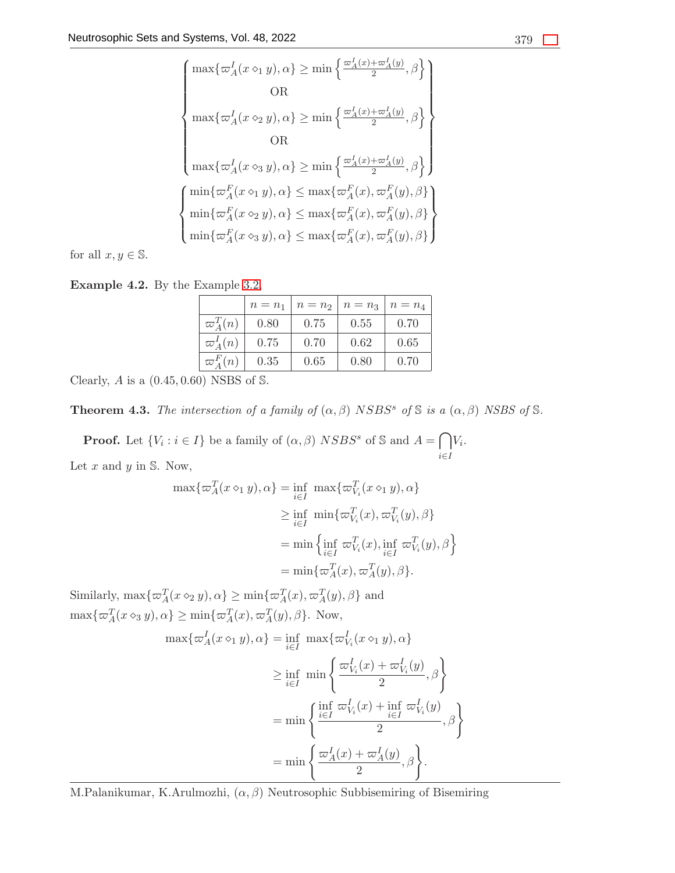$$
\begin{cases} \max\{\varpi_A^I(x\diamond_1 y),\alpha\}\geq \min\left\{\frac{\varpi_A^I(x)+\varpi_A^I(y)}{2},\beta\right\} \\ \\ \max\{\varpi_A^I(x\diamond_2 y),\alpha\}\geq \min\left\{\frac{\varpi_A^I(x)+\varpi_A^I(y)}{2},\beta\right\} \\ \\ \max\{\varpi_A^I(x\diamond_3 y),\alpha\}\geq \min\left\{\frac{\varpi_A^I(x)+\varpi_A^I(y)}{2},\beta\right\} \\ \\ \min\{\varpi_A^F(x\diamond_1 y),\alpha\}\leq \max\{\varpi_A^F(x),\varpi_A^F(y),\beta\} \\ \\ \min\{\varpi_A^F(x\diamond_2 y),\alpha\}\leq \max\{\varpi_A^F(x),\varpi_A^F(y),\beta\} \\ \\ \min\{\varpi_A^F(x\diamond_3 y),\alpha\}\leq \max\{\varpi_A^F(x),\varpi_A^F(y),\beta\} \end{cases}
$$

for all  $x, y \in \mathbb{S}$ .

Example 4.2. By the Example [3.2,](#page-2-0)

|                 | $n = n_1$ | $n = n2$ | $n = n_3$ | $n = n_4$ |
|-----------------|-----------|----------|-----------|-----------|
| $\varpi_A^T(n)$ | 0.80      | 0.75     | 0.55      | 0.70      |
| $\varpi_A^I(n)$ | 0.75      | 0.70     | 0.62      | 0.65      |
| $\varpi_A^F(n)$ | 0.35      | 0.65     | 0.80      | 0.70      |

Clearly,  $A$  is a  $(0.45, 0.60)$  NSBS of S.

<span id="page-11-0"></span>**Theorem 4.3.** The intersection of a family of  $(\alpha, \beta)$  NSBS<sup>s</sup> of S is a  $(\alpha, \beta)$  NSBS of S.

**Proof.** Let  $\{V_i : i \in I\}$  be a family of  $(\alpha, \beta)$  NSBS<sup>s</sup> of S and  $A = \bigcap$ i∈I  $V_i$ . Let  $x$  and  $y$  in  $\mathbb{S}$ . Now,

$$
\max{\lbrace \varpi_A^T(x \diamond_1 y), \alpha \rbrace} = \inf_{i \in I} \max{\lbrace \varpi_{V_i}^T(x \diamond_1 y), \alpha \rbrace}
$$
  
\n
$$
\geq \inf_{i \in I} \min{\lbrace \varpi_{V_i}^T(x), \varpi_{V_i}^T(y), \beta \rbrace}
$$
  
\n
$$
= \min \left\{ \inf_{i \in I} \varpi_{V_i}^T(x), \inf_{i \in I} \varpi_{V_i}^T(y), \beta \right\}
$$
  
\n
$$
= \min{\lbrace \varpi_A^T(x), \varpi_A^T(y), \beta \rbrace}.
$$

Similarly,  $\max{\{\varpi_A^T(x \diamond_2 y), \alpha\}} \ge \min{\{\varpi_A^T(x), \varpi_A^T(y), \beta\}}$  and  $\max{\{\varpi_A^T(x \diamond_3 y), \alpha\}} \ge \min{\{\varpi_A^T(x), \varpi_A^T(y), \beta\}}.$  Now,

$$
\max{\lbrace \varpi_A^I(x \diamond_1 y), \alpha \rbrace} = \inf_{i \in I} \max{\lbrace \varpi_{V_i}^I(x \diamond_1 y), \alpha \rbrace}
$$
  
\n
$$
\geq \inf_{i \in I} \min \left\{ \frac{\varpi_{V_i}^I(x) + \varpi_{V_i}^I(y)}{2}, \beta \right\}
$$
  
\n
$$
= \min \left\{ \frac{\inf_{i \in I} \varpi_{V_i}^I(x) + \inf_{i \in I} \varpi_{V_i}^I(y)}{2}, \beta \right\}
$$
  
\n
$$
= \min \left\{ \frac{\varpi_A^I(x) + \varpi_A^I(y)}{2}, \beta \right\}.
$$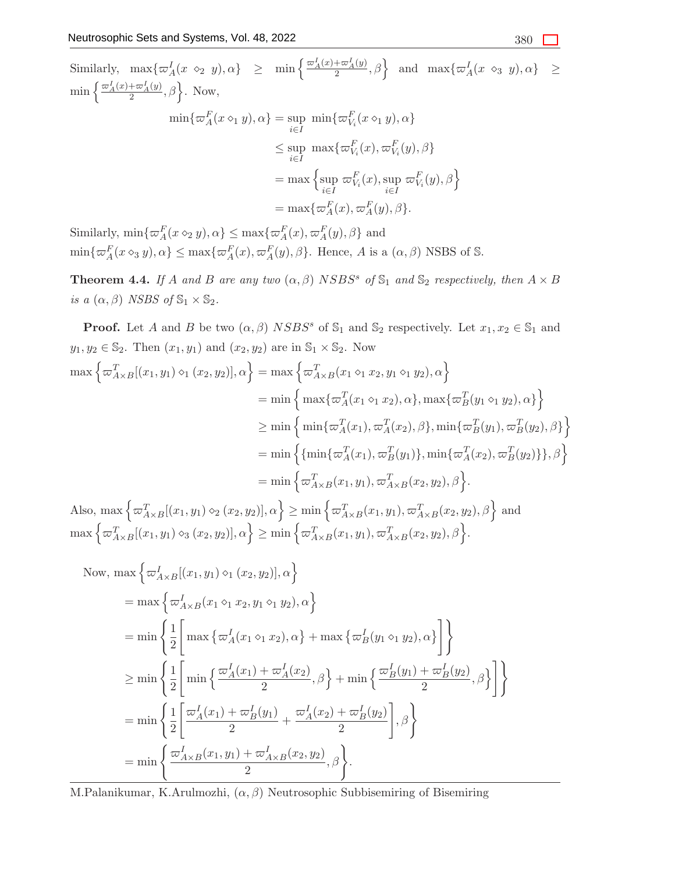Similarly,  $\max\{\varpi_A^I(x \diamond_2 y), \alpha\} \geq \min\left\{\frac{\varpi_A^I(x) + \varpi_A^I(y)}{2}, \beta\right\}$  and  $\max\{\varpi_A^I(x \diamond_3 y), \alpha\} \geq$  $\min\left\{\frac{\varpi_A^I(x)+\varpi_A^I(y)}{2},\beta\right\}.$  Now,  $\min\{\varpi_A^F(x \diamond_1 y), \alpha\} = \sup_{i \in I}$  $\min\{\varpi_{V_i}^F(x \diamond_1 y), \alpha\}$  $\leq$  sup i∈I  $\max\{\varpi_{V_i}^F(x), \varpi_{V_i}^F(y), \beta\}$  $=$  max  $\{ \text{sup}$ i∈I  $\varpi_{V_i}^F(x)$ , sup i∈I  $\left. \begin{array}{l} \varpi^F_{V_i}(y), \beta \end{array} \right\}$  $=$  max $\{\varpi_A^F(x), \varpi_A^F(y), \beta\}.$ 

Similarly,  $\min\{\varpi_A^F(x \diamond_2 y), \alpha\} \leq \max\{\varpi_A^F(x), \varpi_A^F(y), \beta\}$  and  $\min\{\varpi_A^F(x\otimes_3 y),\alpha\}\leq \max\{\varpi_A^F(x),\varpi_A^F(y),\beta\}.$  Hence, A is a  $(\alpha,\beta)$  NSBS of S.

<span id="page-12-0"></span>**Theorem 4.4.** If A and B are any two  $(\alpha, \beta)$  NSBS<sup>s</sup> of  $\mathbb{S}_1$  and  $\mathbb{S}_2$  respectively, then  $A \times B$ is a  $(\alpha, \beta)$  NSBS of  $\mathbb{S}_1 \times \mathbb{S}_2$ .

**Proof.** Let A and B be two  $(\alpha, \beta)$  NSBS<sup>s</sup> of  $\mathbb{S}_1$  and  $\mathbb{S}_2$  respectively. Let  $x_1, x_2 \in \mathbb{S}_1$  and  $y_1, y_2 \in \mathbb{S}_2$ . Then  $(x_1, y_1)$  and  $(x_2, y_2)$  are in  $\mathbb{S}_1 \times \mathbb{S}_2$ . Now  $\max\left\{ \varpi_{A\times B}^{T}[(x_{1},y_{1})\diamond_{1}(x_{2},y_{2})],\alpha\right\} =\max\left\{ \varpi_{A\times B}^{T}(x_{1}\diamond_{1}x_{2},y_{1}\diamond_{1}y_{2}),\alpha\right\}$  $= \min \Big\{ \max \{ \varpi_A^T(x_1 \diamond_1 x_2), \alpha \}, \max \{ \varpi_B^T(y_1 \diamond_1 y_2), \alpha \} \Big\}$  $\geq \min \left\{ \, \min \{\varpi_A^T(x_1), \varpi_A^T(x_2), \beta\}, \min \{\varpi_B^T(y_1), \varpi_B^T(y_2), \beta\} \right\}$  $=\min\left\{\{\min\{\varpi_A^T(x_1), \varpi_B^T(y_1)\}, \min\{\varpi_A^T(x_2), \varpi_B^T(y_2)\}\}, \beta\right\}$  $=\min\Big\{\varpi_{A\times B}^T(x_1,y_1),\varpi_{A\times B}^T(x_2,y_2),\beta\Big\}.$ Also,  $\max \left\{ \varpi_{A\times B}^T[(x_1, y_1) \diamond_2 (x_2, y_2)], \alpha \right\} \ge \min \left\{ \varpi_{A\times B}^T(x_1, y_1), \varpi_{A\times B}^T(x_2, y_2), \beta \right\}$  and  $\max\Big\{ \varpi^T_{A\times B}[(x_1,y_1)\diamond_3(x_2,y_2)], \alpha \Big\} \ge \min\Big\{ \varpi^T_{A\times B}(x_1,y_1), \varpi^T_{A\times B}(x_2,y_2), \beta \Big\}.$ 

Now, max 
$$
\left\{\omega_{A\times B}^I[(x_1, y_1) \diamond_1 (x_2, y_2)], \alpha\right\}
$$
  
\n= max  $\left\{\omega_{A\times B}^I(x_1 \diamond_1 x_2, y_1 \diamond_1 y_2), \alpha\right\}$   
\n= min  $\left\{\frac{1}{2}\left[\max \left\{\omega_A^I(x_1 \diamond_1 x_2), \alpha\right\} + \max \left\{\omega_B^I(y_1 \diamond_1 y_2), \alpha\right\}\right]\right\}$   
\n $\ge \min \left\{\frac{1}{2}\left[\min \left\{\frac{\omega_A^I(x_1) + \omega_A^I(x_2)}{2}, \beta\right\} + \min \left\{\frac{\omega_B^I(y_1) + \omega_B^I(y_2)}{2}, \beta\right\}\right]\right\}$   
\n= min  $\left\{\frac{1}{2}\left[\frac{\omega_A^I(x_1) + \omega_B^I(y_1)}{2} + \frac{\omega_A^I(x_2) + \omega_B^I(y_2)}{2}\right], \beta\right\}$   
\n= min  $\left\{\frac{\omega_{A\times B}^I(x_1, y_1) + \omega_{A\times B}^I(x_2, y_2)}{2}, \beta\right\}$ .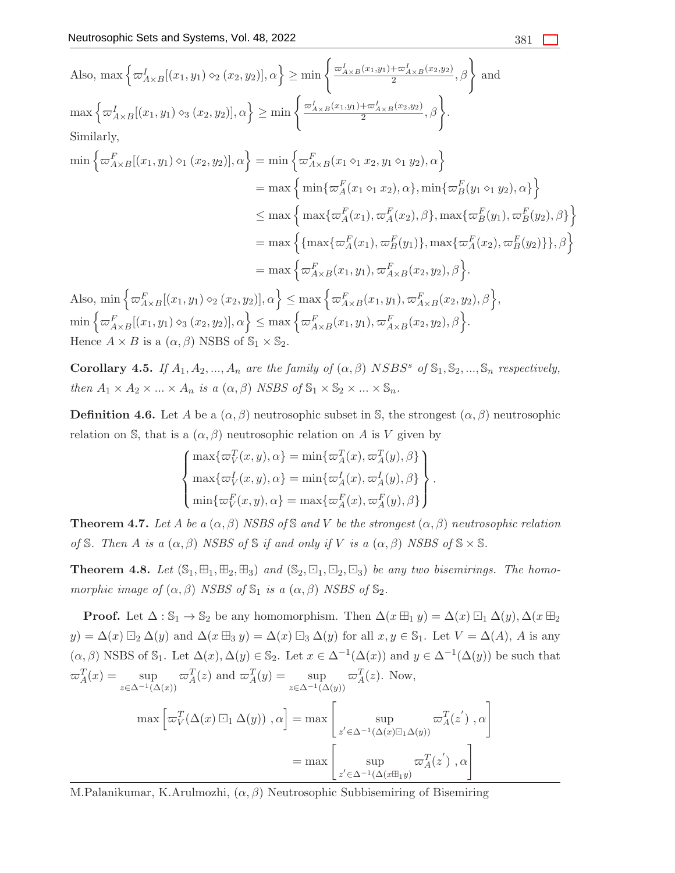Also, max 
$$
\left\{\omega_{A\times B}^I[(x_1, y_1) \circ_2 (x_2, y_2)], \alpha\right\} \ge \min\left\{\frac{\omega_{A\times B}^I(x_1, y_1) + \omega_{A\times B}^I(x_2, y_2)}{2}, \beta\right\}
$$
 and  
\nmax  $\left\{\omega_{A\times B}^I[(x_1, y_1) \circ_3 (x_2, y_2)], \alpha\right\} \ge \min\left\{\frac{\omega_{A\times B}^I(x_1, y_1) + \omega_{A\times B}^I(x_2, y_2)}{2}, \beta\right\}.$   
\nSimilarly,  
\nmin  $\left\{\omega_{A\times B}^F[(x_1, y_1) \circ_1 (x_2, y_2)], \alpha\right\} = \min\left\{\omega_{A\times B}^F(x_1 \circ_1 x_2, y_1 \circ_1 y_2), \alpha\right\}$   
\n $= \max\left\{\min\{\omega_A^F(x_1 \circ_1 x_2), \alpha\}, \min\{\omega_B^F(y_1 \circ_1 y_2), \alpha\}\right\}$   
\n $\le \max\left\{\max\{\omega_A^F(x_1), \omega_A^F(x_2), \beta\}, \max\{\omega_B^F(y_1), \omega_B^F(y_2), \beta\}\right\}$   
\n $= \max\left\{\{\max\{\omega_A^F(x_1), \omega_A^F(x_2), \beta\}, \max\{\omega_A^F(x_2), \omega_B^F(y_2)\}\}, \beta\right\}$   
\n $= \max\left\{\omega_{A\times B}^F(x_1, y_1), \omega_{A\times B}^F(x_2, y_2), \beta\right\}.$   
\nAlso, min  $\left\{\omega_{A\times B}^F[(x_1, y_1) \circ_2 (x_2, y_2)], \alpha\right\} \le \max\left\{\omega_{A\times B}^F(x_1, y_1), \omega_{A\times B}^F(x_2, y_2), \beta\right\},$ 

 $\min\Big\{ \varpi^F_{A\times B}[(x_1,y_1)\diamond_3(x_2,y_2)], \alpha \Big\} \leq \max\Big\{ \varpi^F_{A\times B}(x_1,y_1), \varpi^F_{A\times B}(x_2,y_2), \beta \Big\}.$ Hence  $A \times B$  is a  $(\alpha, \beta)$  NSBS of  $\mathbb{S}_1 \times \mathbb{S}_2$ .

**Corollary 4.5.** If  $A_1, A_2, ..., A_n$  are the family of  $(\alpha, \beta)$  NSBS<sup>s</sup> of  $\mathbb{S}_1, \mathbb{S}_2, ..., \mathbb{S}_n$  respectively, then  $A_1 \times A_2 \times ... \times A_n$  is a  $(\alpha, \beta)$  NSBS of  $\mathbb{S}_1 \times \mathbb{S}_2 \times ... \times \mathbb{S}_n$ .

**Definition 4.6.** Let A be a  $(\alpha, \beta)$  neutrosophic subset in S, the strongest  $(\alpha, \beta)$  neutrosophic relation on S, that is a  $(\alpha, \beta)$  neutrosophic relation on A is V given by

$$
\begin{cases}\n\max\{\varpi_V^T(x,y),\alpha\} = \min\{\varpi_A^T(x),\varpi_A^T(y),\beta\} \\
\max\{\varpi_V^I(x,y),\alpha\} = \min\{\varpi_A^I(x),\varpi_A^I(y),\beta\} \\
\min\{\varpi_V^F(x,y),\alpha\} = \max\{\varpi_A^F(x),\varpi_A^F(y),\beta\}\n\end{cases}.
$$

**Theorem 4.7.** Let A be a  $(\alpha, \beta)$  NSBS of S and V be the strongest  $(\alpha, \beta)$  neutrosophic relation of S. Then A is a  $(\alpha, \beta)$  NSBS of S if and only if V is a  $(\alpha, \beta)$  NSBS of  $\mathbb{S} \times \mathbb{S}$ .

<span id="page-13-0"></span>**Theorem 4.8.** Let  $(\mathbb{S}_1, \mathbb{H}_1, \mathbb{H}_2, \mathbb{H}_3)$  and  $(\mathbb{S}_2, \mathbb{H}_1, \mathbb{H}_2, \mathbb{H}_3)$  be any two bisemirings. The homomorphic image of  $(\alpha, \beta)$  NSBS of  $\mathbb{S}_1$  is a  $(\alpha, \beta)$  NSBS of  $\mathbb{S}_2$ .

**Proof.** Let  $\Delta : \mathbb{S}_1 \to \mathbb{S}_2$  be any homomorphism. Then  $\Delta(x \boxplus_1 y) = \Delta(x) \boxdot_1 \Delta(y)$ ,  $\Delta(x \boxplus_2$  $y) = \Delta(x) \boxdot_2 \Delta(y)$  and  $\Delta(x \boxplus_3 y) = \Delta(x) \boxdot_3 \Delta(y)$  for all  $x, y \in \mathbb{S}_1$ . Let  $V = \Delta(A)$ , A is any  $(\alpha, \beta)$  NSBS of  $\mathbb{S}_1$ . Let  $\Delta(x), \Delta(y) \in \mathbb{S}_2$ . Let  $x \in \Delta^{-1}(\Delta(x))$  and  $y \in \Delta^{-1}(\Delta(y))$  be such that  $\varpi_A^T(x) = \sup$  $z\in\Delta^{-1}(\Delta(x))$  $\varpi_A^T(z)$  and  $\varpi_A^T(y) = \sup$  $z\in\Delta^{-1}(\Delta(y))$  $\varpi_A^T(z)$ . Now,

$$
\max \left[ \varpi_V^T(\Delta(x) \boxdot_1 \Delta(y)), \alpha \right] = \max \left[ \sup_{z' \in \Delta^{-1}(\Delta(x) \boxdot_1 \Delta(y))} \varpi_A^T(z'), \alpha \right]
$$

$$
= \max \left[ \sup_{z' \in \Delta^{-1}(\Delta(x \boxplus_1 y))} \varpi_A^T(z'), \alpha \right]
$$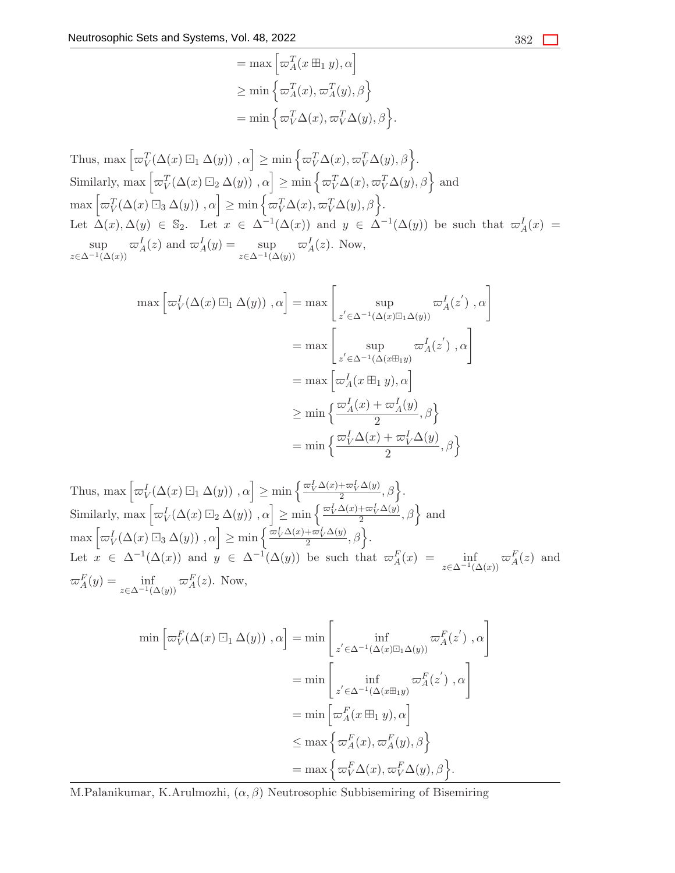$$
= \max \left[\varpi_A^T(x \boxplus_1 y), \alpha\right]
$$
  
\n
$$
\geq \min \left\{\varpi_A^T(x), \varpi_A^T(y), \beta\right\}
$$
  
\n
$$
= \min \left\{\varpi_V^T \Delta(x), \varpi_V^T \Delta(y), \beta\right\}
$$

.

Thus, max  $\left[\varpi_V^T(\Delta(x)\boxdot_1\Delta(y)),\alpha\right]\geq \min\left\{\varpi_V^T\Delta(x),\varpi_V^T\Delta(y),\beta\right\}.$ Similarly, max  $\left[\varpi_V^T(\Delta(x) \boxdot_2 \Delta(y))\right], \alpha\right] \ge \min\left\{\varpi_V^T\Delta(x), \varpi_V^T\Delta(y), \beta\right\}$  and  $\max \left[ \varpi_V^T(\Delta(x) \boxdot_3 \Delta(y)) , \alpha \right] \ge \min \left\{ \varpi_V^T\Delta(x), \varpi_V^T\Delta(y), \beta \right\}.$ Let  $\Delta(x), \Delta(y) \in \mathbb{S}_2$ . Let  $x \in \Delta^{-1}(\Delta(x))$  and  $y \in \Delta^{-1}(\Delta(y))$  be such that  $\omega_A^I(x) =$ sup  $z\in\Delta^{-1}(\Delta(x))$  $\varpi_A^I(z)$  and  $\varpi_A^I(y) = \sup$  $z\in\Delta^{-1}(\Delta(y))$  $\varpi_A^I(z)$ . Now,

$$
\max \left[\varpi_V^I(\Delta(x) \boxdot_1 \Delta(y)), \alpha\right] = \max \left[\sup_{z' \in \Delta^{-1}(\Delta(x) \boxdot_1 \Delta(y))} \varpi_A^I(z'), \alpha\right]
$$

$$
= \max \left[\sup_{z' \in \Delta^{-1}(\Delta(x \boxplus_1 y))} \varpi_A^I(z'), \alpha\right]
$$

$$
= \max \left[\varpi_A^I(x \boxplus_1 y), \alpha\right]
$$

$$
\ge \min \left\{\frac{\varpi_A^I(x) + \varpi_A^I(y)}{2}, \beta\right\}
$$

$$
= \min \left\{\frac{\varpi_V^I(\Delta(x) + \varpi_V^I(\Delta(y))}{2}, \beta\right\}
$$

Thus, max  $\left[\varpi_V^I(\Delta(x) \boxdot_1 \Delta(y)), \alpha\right] \ge \min\left\{\frac{\varpi_V^I \Delta(x) + \varpi_V^I \Delta(y)}{2}, \beta\right\}.$ Similarly,  $\max \left[ \varpi_V^I(\Delta(x) \boxdot_2 \Delta(y)) , \alpha \right] \ge \min \left\{ \frac{\varpi_V^I \Delta(x) + \varpi_V^I \Delta(y)}{2}, \beta \right\}$  and  $\max \left[ \varpi'_V(\Delta(x) \boxdot_3 \Delta(y)), \alpha \right] \ge \min \left\{ \frac{\varpi'_V \Delta(x) + \varpi'_V \Delta(y)}{2}, \beta \right\}.$ Let  $x \in \Delta^{-1}(\Delta(x))$  and  $y \in \Delta^{-1}(\Delta(y))$  be such that  $\sigma_A^F(x) = \inf_{z \in \Delta^{-1}(\Delta(x))} \sigma_A^F(z)$  and  $\varpi_A^F(y) = \inf_{z \in \Delta^{-1}(\Delta(y))} \varpi_A^F(z)$ . Now,

$$
\min \left[ \varpi_V^F(\Delta(x) \boxdot_1 \Delta(y)), \alpha \right] = \min \left[ \inf_{z' \in \Delta^{-1}(\Delta(x) \boxdot_1 \Delta(y))} \varpi_A^F(z'), \alpha \right]
$$

$$
= \min \left[ \inf_{z' \in \Delta^{-1}(\Delta(x \boxplus_1 y))} \varpi_A^F(z'), \alpha \right]
$$

$$
= \min \left[ \varpi_A^F(x \boxplus_1 y), \alpha \right]
$$

$$
\leq \max \left\{ \varpi_A^F(x), \varpi_A^F(y), \beta \right\}
$$

$$
= \max \left\{ \varpi_V^F(\Delta(x), \varpi_V^F(\Delta(y), \beta) \right\}.
$$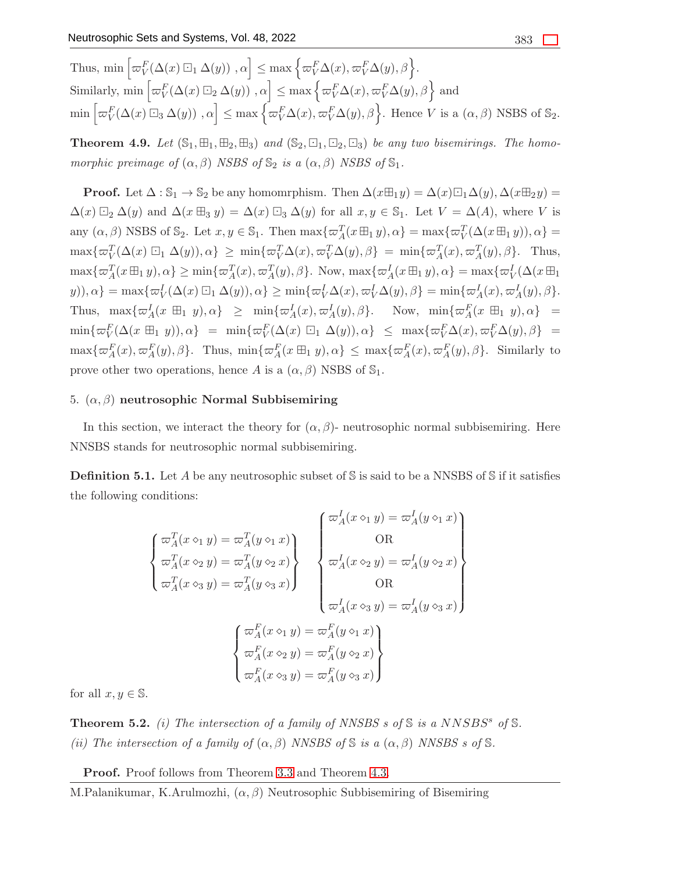Thus,  $\min \left[ \varpi_V^F(\Delta(x) \boxdot_1 \Delta(y)) , \alpha \right] \leq \max \left\{ \varpi_V^F \Delta(x), \varpi_V^F \Delta(y), \beta \right\}.$ Similarly, min  $\left[\varpi_V^F(\Delta(x) \boxdot_2 \Delta(y))\right], \alpha\right] \leq \max\left\{\varpi_V^F \Delta(x), \varpi_V^F \Delta(y), \beta\right\}$  and  $\min \left[ \varpi_V^F(\Delta(x) \boxdot_3 \Delta(y)) , \alpha \right] \leq \max \left\{ \varpi_V^F \Delta(x), \varpi_V^F \Delta(y), \beta \right\}.$  Hence V is a  $(\alpha, \beta)$  NSBS of  $\mathbb{S}_2$ .

<span id="page-15-0"></span>**Theorem 4.9.** Let  $(\mathbb{S}_1, \mathbb{H}_1, \mathbb{H}_2, \mathbb{H}_3)$  and  $(\mathbb{S}_2, \mathbb{H}_1, \mathbb{H}_2, \mathbb{H}_3)$  be any two bisemirings. The homomorphic preimage of  $(\alpha, \beta)$  NSBS of  $\mathbb{S}_2$  is a  $(\alpha, \beta)$  NSBS of  $\mathbb{S}_1$ .

**Proof.** Let  $\Delta : \mathbb{S}_1 \to \mathbb{S}_2$  be any homomrphism. Then  $\Delta(x\boxplus_1 y) = \Delta(x)\boxdot_1\Delta(y)$ ,  $\Delta(x\boxplus_2 y) =$  $\Delta(x) \boxdot_2 \Delta(y)$  and  $\Delta(x \boxplus_3 y) = \Delta(x) \boxdot_3 \Delta(y)$  for all  $x, y \in \mathbb{S}_1$ . Let  $V = \Delta(A)$ , where V is any  $(\alpha, \beta)$  NSBS of  $\mathbb{S}_2$ . Let  $x, y \in \mathbb{S}_1$ . Then  $\max{\lbrace \varpi_A^T(x \boxplus_1 y), \alpha \rbrace} = \max{\lbrace \varpi_V^T(\Delta(x \boxplus_1 y)), \alpha \rbrace} =$  $\max{\{\varpi^T_V(\Delta(x) \boxdot_1 \Delta(y)), \alpha\}} \geq \min{\{\varpi^T_V(\Delta(x), \varpi^T_V(\Delta(y), \beta\})} = \min{\{\varpi^T_A(x), \varpi^T_A(y), \beta\}}.$  Thus,  $\max{\lbrace \varpi_A^T(x \boxplus_1 y), \alpha \rbrace} \ge \min{\lbrace \varpi_A^T(x), \varpi_A^T(y), \beta \rbrace}$ . Now,  $\max{\lbrace \varpi_A^I(x \boxplus_1 y), \alpha \rbrace} = \max{\lbrace \varpi_V^I(\Delta(x \boxplus_1 y), \alpha \rbrace)}$  $y), \alpha\} = \max{\{\varpi_V^I(\Delta(x) \boxdot_1 \Delta(y)), \alpha\}} \ge \min{\{\varpi_V^I \Delta(x), \varpi_V^I \Delta(y), \beta\}} = \min{\{\varpi_A^I(x), \varpi_A^I(y), \beta\}}.$ Thus,  $\max{\lbrace \varpi_A^I(x \boxplus_1 y), \alpha \rbrace} \geq \min{\lbrace \varpi_A^I(x), \varpi_A^I(y), \beta \rbrace}$ . Now,  $\min{\lbrace \varpi_A^F(x \boxplus_1 y), \alpha \rbrace}$  =  $\min\{\varpi_V^F(\Delta(x \boxplus_1 y)), \alpha\} = \min\{\varpi_V^F(\Delta(x) \boxdot_1 \Delta(y)), \alpha\} \leq \max\{\varpi_V^F(\Delta(x), \varpi_V^F(\Delta(y), \beta)\} =$  $\max\{\varpi_A^F(x), \varpi_A^F(y), \beta\}.$  Thus,  $\min\{\varpi_A^F(x \boxplus_1 y), \alpha\} \leq \max\{\varpi_A^F(x), \varpi_A^F(y), \beta\}.$  Similarly to prove other two operations, hence A is a  $(\alpha, \beta)$  NSBS of  $\mathbb{S}_1$ .

## 5.  $(α, β)$  neutrosophic Normal Subbisemiring

In this section, we interact the theory for  $(\alpha, \beta)$ - neutrosophic normal subbisemiring. Here NNSBS stands for neutrosophic normal subbisemiring.

**Definition 5.1.** Let A be any neutrosophic subset of S is said to be a NNSBS of S if it satisfies the following conditions:

$$
\begin{cases}\n\varpi_A^T(x \diamond_1 y) = \varpi_A^T(y \diamond_1 x) \\
\varpi_A^T(x \diamond_2 y) = \varpi_A^T(y \diamond_2 x) \\
\varpi_A^T(x \diamond_3 y) = \varpi_A^T(y \diamond_3 x)\n\end{cases}\n\begin{cases}\n\varpi_A^I(x \diamond_1 y) = \varpi_A^I(y \diamond_1 x) \\
\varpi_A^I(x \diamond_2 y) = \varpi_A^I(y \diamond_2 x) \\
\varpi_A^I(x \diamond_3 y) = \varpi_A^I(y \diamond_3 x)\n\end{cases}
$$
\n
$$
\begin{cases}\n\varpi_A^F(x \diamond_1 y) = \varpi_A^F(y \diamond_1 x) \\
\varpi_A^F(x \diamond_2 y) = \varpi_A^F(y \diamond_2 x) \\
\varpi_A^F(x \diamond_3 y) = \varpi_A^F(y \diamond_3 x)\n\end{cases}
$$

for all  $x, y \in \mathbb{S}$ .

**Theorem 5.2.** (i) The intersection of a family of NNSBS s of  $\mathbb{S}$  is a NNSBS<sup>s</sup> of  $\mathbb{S}$ . (ii) The intersection of a family of  $(\alpha, \beta)$  NNSBS of S is a  $(\alpha, \beta)$  NNSBS s of S.

Proof. Proof follows from Theorem [3.3](#page-3-0) and Theorem [4.3.](#page-11-0)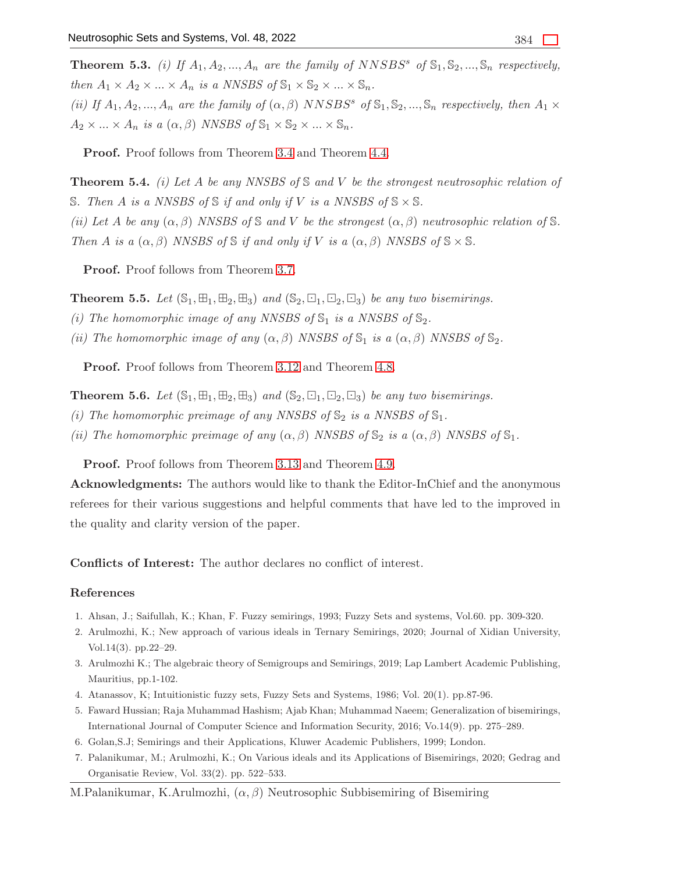**Theorem 5.3.** (i) If  $A_1, A_2, ..., A_n$  are the family of NNSBS<sup>s</sup> of  $\mathbb{S}_1, \mathbb{S}_2, ..., \mathbb{S}_n$  respectively, then  $A_1 \times A_2 \times ... \times A_n$  is a NNSBS of  $\mathbb{S}_1 \times \mathbb{S}_2 \times ... \times \mathbb{S}_n$ . (ii) If  $A_1, A_2, ..., A_n$  are the family of  $(\alpha, \beta)$  NNSBS<sup>s</sup> of  $\mathbb{S}_1, \mathbb{S}_2, ..., \mathbb{S}_n$  respectively, then  $A_1 \times$ 

 $A_2 \times ... \times A_n$  is a  $(\alpha, \beta)$  NNSBS of  $\mathbb{S}_1 \times \mathbb{S}_2 \times ... \times \mathbb{S}_n$ .

Proof. Proof follows from Theorem [3.4](#page-3-1) and Theorem [4.4.](#page-12-0)

**Theorem 5.4.** (i) Let A be any NNSBS of S and V be the strongest neutrosophic relation of S. Then A is a NNSBS of S if and only if V is a NNSBS of  $\mathcal{S} \times \mathcal{S}$ . (ii) Let A be any  $(\alpha, \beta)$  NNSBS of S and V be the strongest  $(\alpha, \beta)$  neutrosophic relation of S. Then A is a  $(\alpha, \beta)$  NNSBS of S if and only if V is a  $(\alpha, \beta)$  NNSBS of  $\mathbb{S} \times \mathbb{S}$ .

Proof. Proof follows from Theorem [3.7.](#page-5-0)

**Theorem 5.5.** Let  $(\mathbb{S}_1, \boxplus_1, \boxplus_2, \boxplus_3)$  and  $(\mathbb{S}_2, \boxminus_1, \boxminus_2, \boxminus_3)$  be any two bisemirings.

- (i) The homomorphic image of any NNSBS of  $\mathbb{S}_1$  is a NNSBS of  $\mathbb{S}_2$ .
- (ii) The homomorphic image of any  $(\alpha, \beta)$  NNSBS of  $\mathbb{S}_1$  is a  $(\alpha, \beta)$  NNSBS of  $\mathbb{S}_2$ .

Proof. Proof follows from Theorem [3.12](#page-8-0) and Theorem [4.8.](#page-13-0)

**Theorem 5.6.** Let  $(\mathbb{S}_1, \mathbb{H}_1, \mathbb{H}_2, \mathbb{H}_3)$  and  $(\mathbb{S}_2, \mathbb{G}_1, \mathbb{G}_2, \mathbb{G}_3)$  be any two bisemirings.

- (i) The homomorphic preimage of any NNSBS of  $\mathbb{S}_2$  is a NNSBS of  $\mathbb{S}_1$ .
- (ii) The homomorphic preimage of any  $(\alpha, \beta)$  NNSBS of  $\mathbb{S}_2$  is a  $(\alpha, \beta)$  NNSBS of  $\mathbb{S}_1$ .

Proof. Proof follows from Theorem [3.13](#page-9-0) and Theorem [4.9.](#page-15-0)

Acknowledgments: The authors would like to thank the Editor-InChief and the anonymous referees for their various suggestions and helpful comments that have led to the improved in the quality and clarity version of the paper.

Conflicts of Interest: The author declares no conflict of interest.

#### <span id="page-16-4"></span>References

- <span id="page-16-1"></span>1. Ahsan, J.; Saifullah, K.; Khan, F. Fuzzy semirings, 1993; Fuzzy Sets and systems, Vol.60. pp. 309-320.
- <span id="page-16-2"></span>2. Arulmozhi, K.; New approach of various ideals in Ternary Semirings, 2020; Journal of Xidian University, Vol.14(3). pp.22–29.
- <span id="page-16-0"></span>3. Arulmozhi K.; The algebraic theory of Semigroups and Semirings, 2019; Lap Lambert Academic Publishing, Mauritius, pp.1-102.
- <span id="page-16-5"></span>4. Atanassov, K; Intuitionistic fuzzy sets, Fuzzy Sets and Systems, 1986; Vol. 20(1). pp.87-96.
- <span id="page-16-3"></span>5. Faward Hussian; Raja Muhammad Hashism; Ajab Khan; Muhammad Naeem; Generalization of bisemirings, International Journal of Computer Science and Information Security, 2016; Vo.14(9). pp. 275–289.
- <span id="page-16-6"></span>6. Golan,S.J; Semirings and their Applications, Kluwer Academic Publishers, 1999; London.
- 7. Palanikumar, M.; Arulmozhi, K.; On Various ideals and its Applications of Bisemirings, 2020; Gedrag and Organisatie Review, Vol. 33(2). pp. 522–533.
- M.Palanikumar, K.Arulmozhi,  $(\alpha, \beta)$  Neutrosophic Subbisemiring of Bisemiring